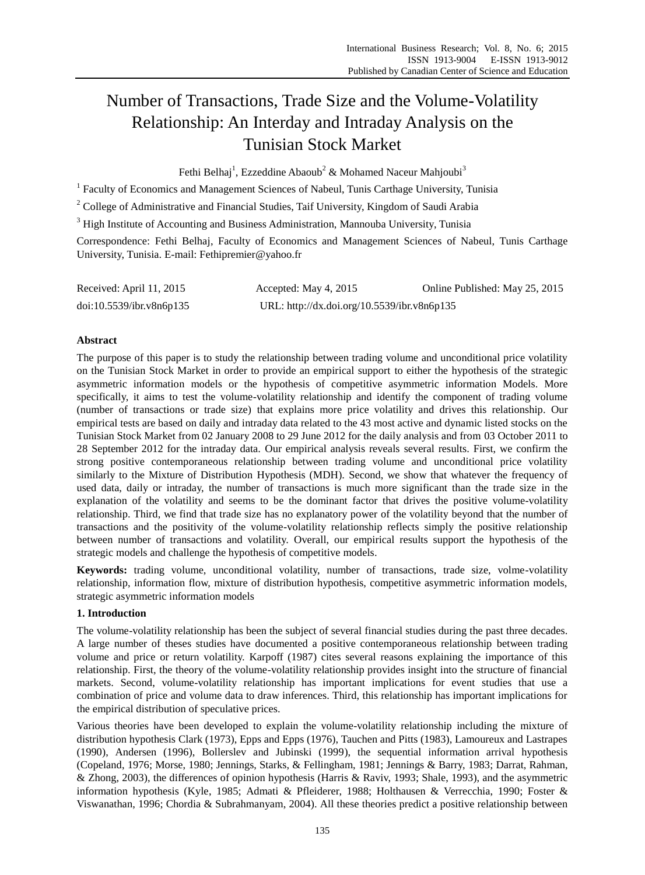# Number of Transactions, Trade Size and the Volume-Volatility Relationship: An Interday and Intraday Analysis on the Tunisian Stock Market

Fethi Belhaj<sup>1</sup>, Ezzeddine Abaoub<sup>2</sup> & Mohamed Naceur Mahjoubi<sup>3</sup>

<sup>1</sup> Faculty of Economics and Management Sciences of Nabeul, Tunis Carthage University, Tunisia

<sup>2</sup> College of Administrative and Financial Studies, Taif University, Kingdom of Saudi Arabia

<sup>3</sup> High Institute of Accounting and Business Administration, Mannouba University, Tunisia

Correspondence: Fethi Belhaj, Faculty of Economics and Management Sciences of Nabeul, Tunis Carthage University, Tunisia. E-mail: Fethipremier@yahoo.fr

| Received: April 11, 2015 | Accepted: May 4, 2015                       | Online Published: May 25, 2015 |
|--------------------------|---------------------------------------------|--------------------------------|
| doi:10.5539/ibr.v8n6p135 | URL: http://dx.doi.org/10.5539/ibr.v8n6p135 |                                |

# **Abstract**

The purpose of this paper is to study the relationship between trading volume and unconditional price volatility on the Tunisian Stock Market in order to provide an empirical support to either the hypothesis of the strategic asymmetric information models or the hypothesis of competitive asymmetric information Models. More specifically, it aims to test the volume-volatility relationship and identify the component of trading volume (number of transactions or trade size) that explains more price volatility and drives this relationship. Our empirical tests are based on daily and intraday data related to the 43 most active and dynamic listed stocks on the Tunisian Stock Market from 02 January 2008 to 29 June 2012 for the daily analysis and from 03 October 2011 to 28 September 2012 for the intraday data. Our empirical analysis reveals several results. First, we confirm the strong positive contemporaneous relationship between trading volume and unconditional price volatility similarly to the Mixture of Distribution Hypothesis (MDH). Second, we show that whatever the frequency of used data, daily or intraday, the number of transactions is much more significant than the trade size in the explanation of the volatility and seems to be the dominant factor that drives the positive volume-volatility relationship. Third, we find that trade size has no explanatory power of the volatility beyond that the number of transactions and the positivity of the volume-volatility relationship reflects simply the positive relationship between number of transactions and volatility. Overall, our empirical results support the hypothesis of the strategic models and challenge the hypothesis of competitive models.

**Keywords:** trading volume, unconditional volatility, number of transactions, trade size, volme-volatility relationship, information flow, mixture of distribution hypothesis, competitive asymmetric information models, strategic asymmetric information models

# **1. Introduction**

The volume-volatility relationship has been the subject of several financial studies during the past three decades. A large number of theses studies have documented a positive contemporaneous relationship between trading volume and price or return volatility. Karpoff (1987) cites several reasons explaining the importance of this relationship. First, the theory of the volume-volatility relationship provides insight into the structure of financial markets. Second, volume-volatility relationship has important implications for event studies that use a combination of price and volume data to draw inferences. Third, this relationship has important implications for the empirical distribution of speculative prices.

Various theories have been developed to explain the volume-volatility relationship including the mixture of distribution hypothesis Clark (1973), Epps and Epps (1976), Tauchen and Pitts (1983), Lamoureux and Lastrapes (1990), Andersen (1996), Bollerslev and Jubinski (1999), the sequential information arrival hypothesis (Copeland, 1976; Morse, 1980; Jennings, Starks, & Fellingham, 1981; Jennings & Barry, 1983; Darrat, Rahman, & Zhong, 2003), the differences of opinion hypothesis (Harris & Raviv, 1993; Shale, 1993), and the asymmetric information hypothesis (Kyle, 1985; Admati & Pfleiderer, 1988; Holthausen & Verrecchia, 1990; Foster & Viswanathan, 1996; Chordia & Subrahmanyam, 2004). All these theories predict a positive relationship between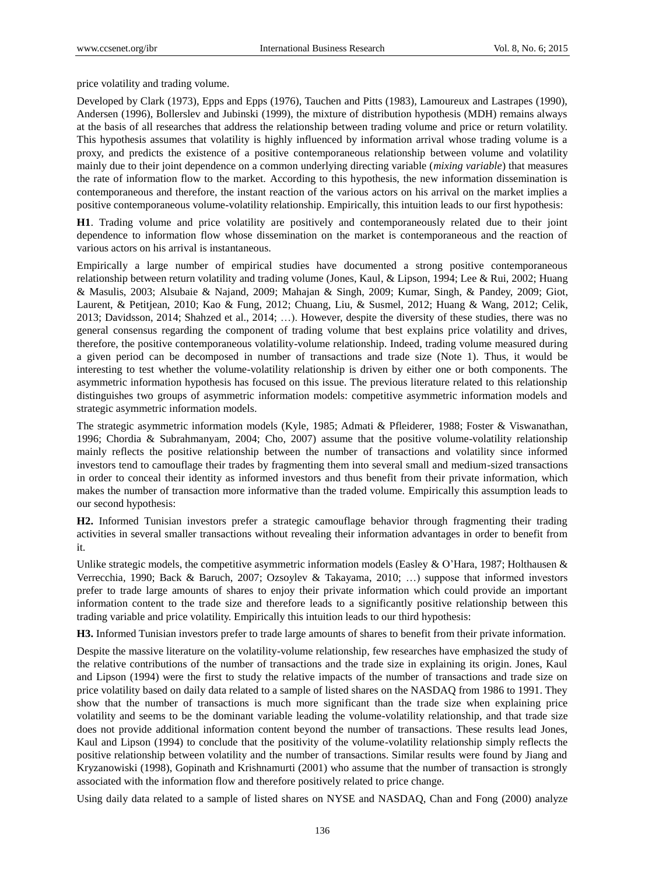price volatility and trading volume.

Developed by Clark (1973), Epps and Epps (1976), Tauchen and Pitts (1983), Lamoureux and Lastrapes (1990), Andersen (1996), Bollerslev and Jubinski (1999), the mixture of distribution hypothesis (MDH) remains always at the basis of all researches that address the relationship between trading volume and price or return volatility. This hypothesis assumes that volatility is highly influenced by information arrival whose trading volume is a proxy, and predicts the existence of a positive contemporaneous relationship between volume and volatility mainly due to their joint dependence on a common underlying directing variable (*mixing variable*) that measures the rate of information flow to the market. According to this hypothesis, the new information dissemination is contemporaneous and therefore, the instant reaction of the various actors on his arrival on the market implies a positive contemporaneous volume-volatility relationship. Empirically, this intuition leads to our first hypothesis:

**H1**. Trading volume and price volatility are positively and contemporaneously related due to their joint dependence to information flow whose dissemination on the market is contemporaneous and the reaction of various actors on his arrival is instantaneous.

Empirically a large number of empirical studies have documented a strong positive contemporaneous relationship between return volatility and trading volume (Jones, Kaul, & Lipson, 1994; Lee & Rui, 2002; Huang & Masulis, 2003; Alsubaie & Najand, 2009; Mahajan & Singh, 2009; Kumar, Singh, & Pandey, 2009; Giot, Laurent, & Petitjean, 2010; Kao & Fung, 2012; Chuang, Liu, & Susmel, 2012; Huang & Wang, 2012; Celik, 2013; Davidsson, 2014; Shahzed et al., 2014; …). However, despite the diversity of these studies, there was no general consensus regarding the component of trading volume that best explains price volatility and drives, therefore, the positive contemporaneous volatility-volume relationship. Indeed, trading volume measured during a given period can be decomposed in number of transactions and trade size (Note 1). Thus, it would be interesting to test whether the volume-volatility relationship is driven by either one or both components. The asymmetric information hypothesis has focused on this issue. The previous literature related to this relationship distinguishes two groups of asymmetric information models: competitive asymmetric information models and strategic asymmetric information models.

The strategic asymmetric information models (Kyle, 1985; Admati & Pfleiderer, 1988; Foster & Viswanathan, 1996; Chordia & Subrahmanyam, 2004; Cho, 2007) assume that the positive volume-volatility relationship mainly reflects the positive relationship between the number of transactions and volatility since informed investors tend to camouflage their trades by fragmenting them into several small and medium-sized transactions in order to conceal their identity as informed investors and thus benefit from their private information, which makes the number of transaction more informative than the traded volume. Empirically this assumption leads to our second hypothesis:

**H2.** Informed Tunisian investors prefer a strategic camouflage behavior through fragmenting their trading activities in several smaller transactions without revealing their information advantages in order to benefit from it.

Unlike strategic models, the competitive asymmetric information models (Easley & O'Hara, 1987; Holthausen & Verrecchia, 1990; Back & Baruch, 2007; Ozsoylev & Takayama, 2010; …) suppose that informed investors prefer to trade large amounts of shares to enjoy their private information which could provide an important information content to the trade size and therefore leads to a significantly positive relationship between this trading variable and price volatility. Empirically this intuition leads to our third hypothesis:

**H3.** Informed Tunisian investors prefer to trade large amounts of shares to benefit from their private information.

Despite the massive literature on the volatility-volume relationship, few researches have emphasized the study of the relative contributions of the number of transactions and the trade size in explaining its origin. Jones, Kaul and Lipson (1994) were the first to study the relative impacts of the number of transactions and trade size on price volatility based on daily data related to a sample of listed shares on the NASDAQ from 1986 to 1991. They show that the number of transactions is much more significant than the trade size when explaining price volatility and seems to be the dominant variable leading the volume-volatility relationship, and that trade size does not provide additional information content beyond the number of transactions. These results lead Jones, Kaul and Lipson (1994) to conclude that the positivity of the volume-volatility relationship simply reflects the positive relationship between volatility and the number of transactions. Similar results were found by Jiang and Kryzanowiski (1998), Gopinath and Krishnamurti (2001) who assume that the number of transaction is strongly associated with the information flow and therefore positively related to price change.

Using daily data related to a sample of listed shares on NYSE and NASDAQ, Chan and Fong (2000) analyze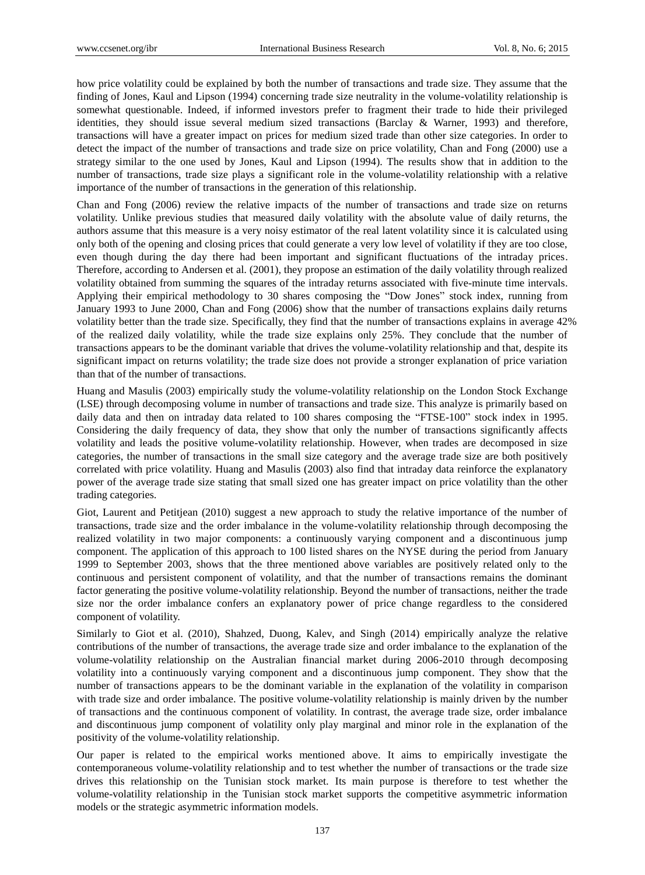how price volatility could be explained by both the number of transactions and trade size. They assume that the finding of Jones, Kaul and Lipson (1994) concerning trade size neutrality in the volume-volatility relationship is somewhat questionable. Indeed, if informed investors prefer to fragment their trade to hide their privileged identities, they should issue several medium sized transactions (Barclay & Warner, 1993) and therefore, transactions will have a greater impact on prices for medium sized trade than other size categories. In order to detect the impact of the number of transactions and trade size on price volatility, Chan and Fong (2000) use a strategy similar to the one used by Jones, Kaul and Lipson (1994). The results show that in addition to the number of transactions, trade size plays a significant role in the volume-volatility relationship with a relative importance of the number of transactions in the generation of this relationship.

Chan and Fong (2006) review the relative impacts of the number of transactions and trade size on returns volatility. Unlike previous studies that measured daily volatility with the absolute value of daily returns, the authors assume that this measure is a very noisy estimator of the real latent volatility since it is calculated using only both of the opening and closing prices that could generate a very low level of volatility if they are too close, even though during the day there had been important and significant fluctuations of the intraday prices. Therefore, according to Andersen et al. (2001), they propose an estimation of the daily volatility through realized volatility obtained from summing the squares of the intraday returns associated with five-minute time intervals. Applying their empirical methodology to 30 shares composing the "Dow Jones" stock index, running from January 1993 to June 2000, Chan and Fong (2006) show that the number of transactions explains daily returns volatility better than the trade size. Specifically, they find that the number of transactions explains in average 42% of the realized daily volatility, while the trade size explains only 25%. They conclude that the number of transactions appears to be the dominant variable that drives the volume-volatility relationship and that, despite its significant impact on returns volatility; the trade size does not provide a stronger explanation of price variation than that of the number of transactions.

Huang and Masulis (2003) empirically study the volume-volatility relationship on the London Stock Exchange (LSE) through decomposing volume in number of transactions and trade size. This analyze is primarily based on daily data and then on intraday data related to 100 shares composing the "FTSE-100" stock index in 1995. Considering the daily frequency of data, they show that only the number of transactions significantly affects volatility and leads the positive volume-volatility relationship. However, when trades are decomposed in size categories, the number of transactions in the small size category and the average trade size are both positively correlated with price volatility. Huang and Masulis (2003) also find that intraday data reinforce the explanatory power of the average trade size stating that small sized one has greater impact on price volatility than the other trading categories.

Giot, Laurent and Petitjean (2010) suggest a new approach to study the relative importance of the number of transactions, trade size and the order imbalance in the volume-volatility relationship through decomposing the realized volatility in two major components: a continuously varying component and a discontinuous jump component. The application of this approach to 100 listed shares on the NYSE during the period from January 1999 to September 2003, shows that the three mentioned above variables are positively related only to the continuous and persistent component of volatility, and that the number of transactions remains the dominant factor generating the positive volume-volatility relationship. Beyond the number of transactions, neither the trade size nor the order imbalance confers an explanatory power of price change regardless to the considered component of volatility.

Similarly to Giot et al. (2010), Shahzed, Duong, Kalev, and Singh (2014) empirically analyze the relative contributions of the number of transactions, the average trade size and order imbalance to the explanation of the volume-volatility relationship on the Australian financial market during 2006-2010 through decomposing volatility into a continuously varying component and a discontinuous jump component. They show that the number of transactions appears to be the dominant variable in the explanation of the volatility in comparison with trade size and order imbalance. The positive volume-volatility relationship is mainly driven by the number of transactions and the continuous component of volatility. In contrast, the average trade size, order imbalance and discontinuous jump component of volatility only play marginal and minor role in the explanation of the positivity of the volume-volatility relationship.

Our paper is related to the empirical works mentioned above. It aims to empirically investigate the contemporaneous volume-volatility relationship and to test whether the number of transactions or the trade size drives this relationship on the Tunisian stock market. Its main purpose is therefore to test whether the volume-volatility relationship in the Tunisian stock market supports the competitive asymmetric information models or the strategic asymmetric information models.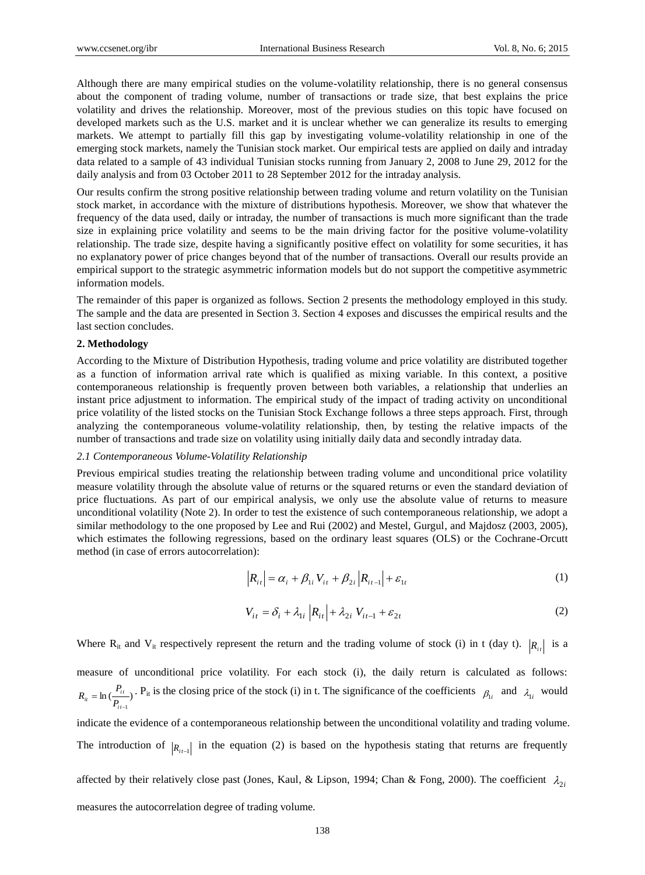Although there are many empirical studies on the volume-volatility relationship, there is no general consensus about the component of trading volume, number of transactions or trade size, that best explains the price volatility and drives the relationship. Moreover, most of the previous studies on this topic have focused on developed markets such as the U.S. market and it is unclear whether we can generalize its results to emerging markets. We attempt to partially fill this gap by investigating volume-volatility relationship in one of the emerging stock markets, namely the Tunisian stock market. Our empirical tests are applied on daily and intraday data related to a sample of 43 individual Tunisian stocks running from January 2, 2008 to June 29, 2012 for the daily analysis and from 03 October 2011 to 28 September 2012 for the intraday analysis.

Our results confirm the strong positive relationship between trading volume and return volatility on the Tunisian stock market, in accordance with the mixture of distributions hypothesis. Moreover, we show that whatever the frequency of the data used, daily or intraday, the number of transactions is much more significant than the trade size in explaining price volatility and seems to be the main driving factor for the positive volume-volatility relationship. The trade size, despite having a significantly positive effect on volatility for some securities, it has no explanatory power of price changes beyond that of the number of transactions. Overall our results provide an empirical support to the strategic asymmetric information models but do not support the competitive asymmetric information models.

The remainder of this paper is organized as follows. Section 2 presents the methodology employed in this study. The sample and the data are presented in Section 3. Section 4 exposes and discusses the empirical results and the last section concludes.

## **2. Methodology**

According to the Mixture of Distribution Hypothesis, trading volume and price volatility are distributed together as a function of information arrival rate which is qualified as mixing variable. In this context, a positive contemporaneous relationship is frequently proven between both variables, a relationship that underlies an instant price adjustment to information. The empirical study of the impact of trading activity on unconditional price volatility of the listed stocks on the Tunisian Stock Exchange follows a three steps approach. First, through analyzing the contemporaneous volume-volatility relationship, then, by testing the relative impacts of the number of transactions and trade size on volatility using initially daily data and secondly intraday data.

#### *2.1 Contemporaneous Volume-Volatility Relationship*

Previous empirical studies treating the relationship between trading volume and unconditional price volatility measure volatility through the absolute value of returns or the squared returns or even the standard deviation of price fluctuations. As part of our empirical analysis, we only use the absolute value of returns to measure unconditional volatility (Note 2). In order to test the existence of such contemporaneous relationship, we adopt a similar methodology to the one proposed by Lee and Rui (2002) and Mestel, Gurgul, and Majdosz (2003, 2005), which estimates the following regressions, based on the ordinary least squares (OLS) or the Cochrane-Orcutt method (in case of errors autocorrelation):

$$
|R_{i} = \alpha_i + \beta_{1i} V_{it} + \beta_{2i} |R_{i} = + \varepsilon_{1i}
$$
 (1)

$$
V_{it} = \delta_i + \lambda_{1i} \left| R_{it} \right| + \lambda_{2i} V_{it-1} + \varepsilon_{2t}
$$
 (2)

Where  $R_{it}$  and  $V_{it}$  respectively represent the return and the trading volume of stock (i) in t (day t).  $|R_{it}|$  is a

measure of unconditional price volatility. For each stock (i), the daily return is calculated as follows:  $\ln (\frac{I_{it}}{P_{it-1}})$  $-1$ *i t*  $R_{ii} = \ln\left(\frac{P_{ii}}{R_{ii}}\right)$ . P<sub>it</sub> is the closing price of the stock (i) in t. The significance of the coefficients  $\beta_{1i}$  and  $\lambda_{1i}$  would

indicate the evidence of a contemporaneous relationship between the unconditional volatility and trading volume. The introduction of  $|R_{i-1}|$  in the equation (2) is based on the hypothesis stating that returns are frequently

affected by their relatively close past (Jones, Kaul, & Lipson, 1994; Chan & Fong, 2000). The coefficient  $\lambda_{2i}$ 

measures the autocorrelation degree of trading volume.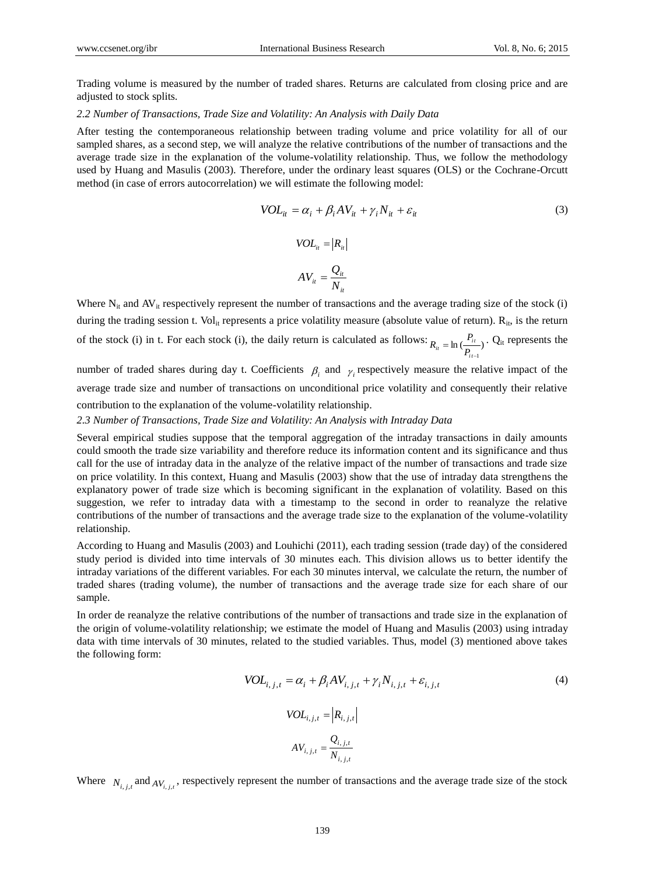Trading volume is measured by the number of traded shares. Returns are calculated from closing price and are adjusted to stock splits.

#### *2.2 Number of Transactions, Trade Size and Volatility: An Analysis with Daily Data*

After testing the contemporaneous relationship between trading volume and price volatility for all of our sampled shares, as a second step, we will analyze the relative contributions of the number of transactions and the average trade size in the explanation of the volume-volatility relationship. Thus, we follow the methodology used by Huang and Masulis (2003). Therefore, under the ordinary least squares (OLS) or the Cochrane-Orcutt method (in case of errors autocorrelation) we will estimate the following model:

$$
VOL_{it} = \alpha_i + \beta_i AV_{it} + \gamma_i N_{it} + \varepsilon_{it}
$$
\n(3)

$$
VOL_{it} = |R_{it}|
$$

$$
AV_{it} = \frac{Q_{it}}{N_{it}}
$$

Where  $N_{it}$  and  $AV_{it}$  respectively represent the number of transactions and the average trading size of the stock (i) during the trading session t.  $Vol_{it}$  represents a price volatility measure (absolute value of return).  $R_{it}$ , is the return of the stock (i) in t. For each stock (i), the daily return is calculated as follows:  $R_{ii} = \ln\left(\frac{P_{it}}{r}\right)$  $-1$  $=$ *i t*  $P_{it} = \ln \left( \frac{I_{it}}{P_{it}} \right)$  $R_{ii} = \ln \left( \frac{P_{ii}}{P_{ii}} \right)$ . Q<sub>it</sub> represents the

number of traded shares during day t. Coefficients  $\beta_i$  and  $\gamma_i$  respectively measure the relative impact of the average trade size and number of transactions on unconditional price volatility and consequently their relative contribution to the explanation of the volume-volatility relationship.

## *2.3 Number of Transactions, Trade Size and Volatility: An Analysis with Intraday Data*

Several empirical studies suppose that the temporal aggregation of the intraday transactions in daily amounts could smooth the trade size variability and therefore reduce its information content and its significance and thus call for the use of intraday data in the analyze of the relative impact of the number of transactions and trade size on price volatility. In this context, Huang and Masulis (2003) show that the use of intraday data strengthens the explanatory power of trade size which is becoming significant in the explanation of volatility. Based on this suggestion, we refer to intraday data with a timestamp to the second in order to reanalyze the relative contributions of the number of transactions and the average trade size to the explanation of the volume-volatility relationship.

According to Huang and Masulis (2003) and Louhichi (2011), each trading session (trade day) of the considered study period is divided into time intervals of 30 minutes each. This division allows us to better identify the intraday variations of the different variables. For each 30 minutes interval, we calculate the return, the number of traded shares (trading volume), the number of transactions and the average trade size for each share of our sample.

In order de reanalyze the relative contributions of the number of transactions and trade size in the explanation of the origin of volume-volatility relationship; we estimate the model of Huang and Masulis (2003) using intraday data with time intervals of 30 minutes, related to the studied variables. Thus, model (3) mentioned above takes the following form:

$$
VOL_{i,j,t} = \alpha_i + \beta_i AV_{i,j,t} + \gamma_i N_{i,j,t} + \varepsilon_{i,j,t}
$$
\n
$$
VOL_{i,j,t} = \left| R_{i,j,t} \right|
$$
\n
$$
AV_{i,j,t} = \frac{Q_{i,j,t}}{N_{i,j,t}}
$$
\n
$$
(4)
$$

Where  $N_{i,j,t}$  and  $AV_{i,j,t}$ , respectively represent the number of transactions and the average trade size of the stock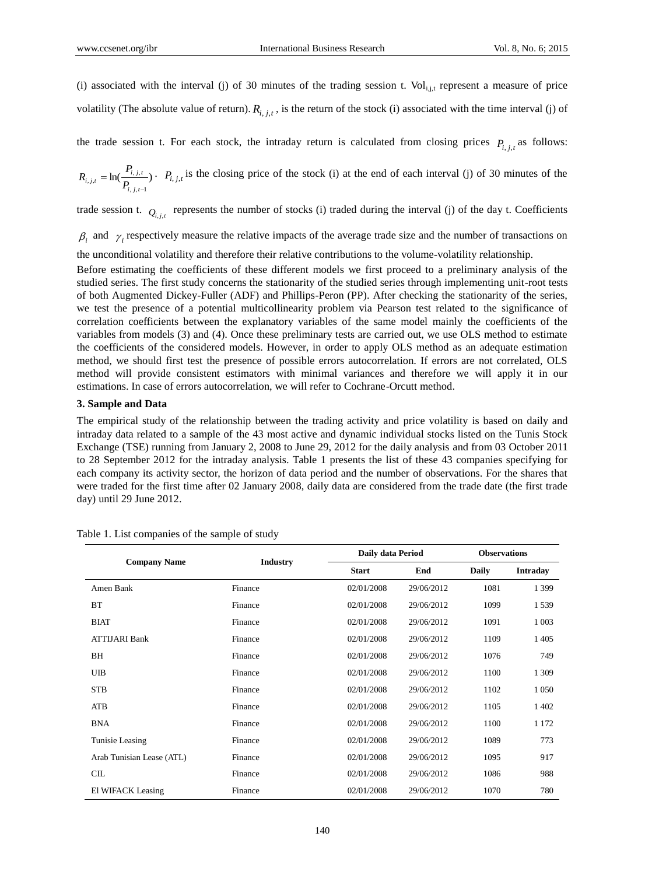(i) associated with the interval (j) of 30 minutes of the trading session t. Vol<sub>i,j,t</sub> represent a measure of price volatility (The absolute value of return).  $R_{i,j,t}$ , is the return of the stock (i) associated with the time interval (j) of

the trade session t. For each stock, the intraday return is calculated from closing prices  $P_{i,j,t}$  as follows:

$$
R_{i,j,t} = \ln(\frac{P_{i,j,t}}{P_{i,j,t-1}}) \cdot P_{i,j,t} \text{ is the closing price of the stock (i) at the end of each interval (j) of 30 minutes of the}
$$

trade session t.  $Q_{i,j,t}$  represents the number of stocks (i) traded during the interval (j) of the day t. Coefficients

 $\beta_i$  and  $\gamma_i$  respectively measure the relative impacts of the average trade size and the number of transactions on

the unconditional volatility and therefore their relative contributions to the volume-volatility relationship.

Before estimating the coefficients of these different models we first proceed to a preliminary analysis of the studied series. The first study concerns the stationarity of the studied series through implementing unit-root tests of both Augmented Dickey-Fuller (ADF) and Phillips-Peron (PP). After checking the stationarity of the series, we test the presence of a potential multicollinearity problem via Pearson test related to the significance of correlation coefficients between the explanatory variables of the same model mainly the coefficients of the variables from models (3) and (4). Once these preliminary tests are carried out, we use OLS method to estimate the coefficients of the considered models. However, in order to apply OLS method as an adequate estimation method, we should first test the presence of possible errors autocorrelation. If errors are not correlated, OLS method will provide consistent estimators with minimal variances and therefore we will apply it in our estimations. In case of errors autocorrelation, we will refer to Cochrane-Orcutt method.

#### **3. Sample and Data**

The empirical study of the relationship between the trading activity and price volatility is based on daily and intraday data related to a sample of the 43 most active and dynamic individual stocks listed on the Tunis Stock Exchange (TSE) running from January 2, 2008 to June 29, 2012 for the daily analysis and from 03 October 2011 to 28 September 2012 for the intraday analysis. Table 1 presents the list of these 43 companies specifying for each company its activity sector, the horizon of data period and the number of observations. For the shares that were traded for the first time after 02 January 2008, daily data are considered from the trade date (the first trade day) until 29 June 2012.

|                           |                 | Daily data Period |            | <b>Observations</b> |                 |  |
|---------------------------|-----------------|-------------------|------------|---------------------|-----------------|--|
| <b>Company Name</b>       | <b>Industry</b> | <b>Start</b>      | End        | Daily               | <b>Intraday</b> |  |
| Amen Bank                 | Finance         | 02/01/2008        | 29/06/2012 | 1081                | 1 3 9 9         |  |
| <b>BT</b>                 | Finance         | 02/01/2008        | 29/06/2012 | 1099                | 1539            |  |
| <b>BIAT</b>               | Finance         | 02/01/2008        | 29/06/2012 | 1091                | 1 0 0 3         |  |
| <b>ATTIJARI Bank</b>      | Finance         | 02/01/2008        | 29/06/2012 | 1109                | 1405            |  |
| BH                        | Finance         | 02/01/2008        | 29/06/2012 | 1076                | 749             |  |
| UIB                       | Finance         | 02/01/2008        | 29/06/2012 | 1100                | 1 3 0 9         |  |
| <b>STB</b>                | Finance         | 02/01/2008        | 29/06/2012 | 1102                | 1 0 5 0         |  |
| <b>ATB</b>                | Finance         | 02/01/2008        | 29/06/2012 | 1105                | 1 402           |  |
| <b>BNA</b>                | Finance         | 02/01/2008        | 29/06/2012 | 1100                | 1 1 7 2         |  |
| Tunisie Leasing           | Finance         | 02/01/2008        | 29/06/2012 | 1089                | 773             |  |
| Arab Tunisian Lease (ATL) | Finance         | 02/01/2008        | 29/06/2012 | 1095                | 917             |  |
| CL                        | Finance         | 02/01/2008        | 29/06/2012 | 1086                | 988             |  |
| El WIFACK Leasing         | Finance         | 02/01/2008        | 29/06/2012 | 1070                | 780             |  |

Table 1. List companies of the sample of study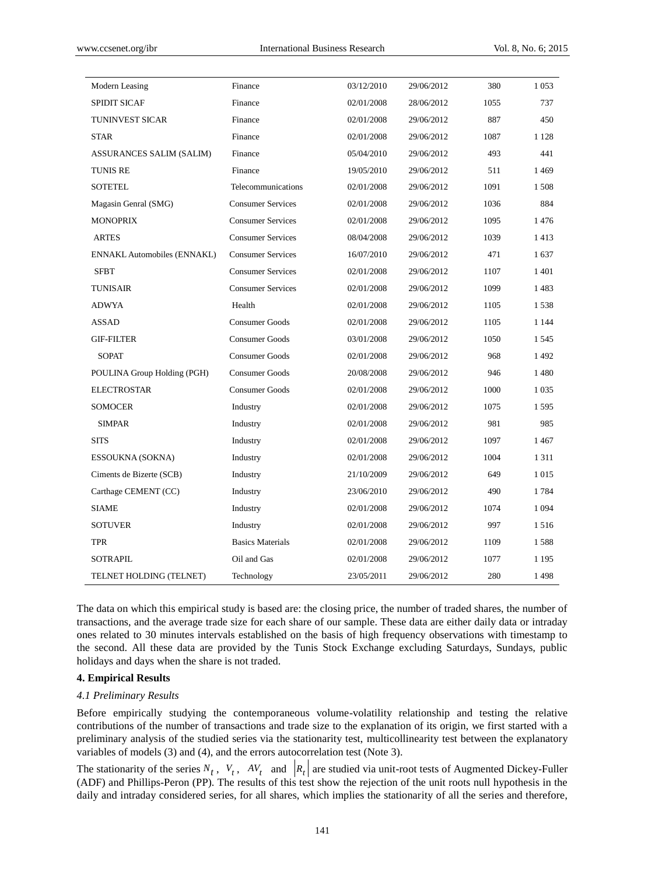| Modern Leasing                     | Finance                  | 03/12/2010 | 29/06/2012 | 380  | 1 0 5 3 |
|------------------------------------|--------------------------|------------|------------|------|---------|
| <b>SPIDIT SICAF</b>                | Finance                  | 02/01/2008 | 28/06/2012 | 1055 | 737     |
| <b>TUNINVEST SICAR</b>             | Finance                  | 02/01/2008 | 29/06/2012 | 887  | 450     |
| <b>STAR</b>                        | Finance                  | 02/01/2008 | 29/06/2012 | 1087 | 1 1 2 8 |
| ASSURANCES SALIM (SALIM)           | Finance                  | 05/04/2010 | 29/06/2012 | 493  | 441     |
| <b>TUNIS RE</b>                    | Finance                  | 19/05/2010 | 29/06/2012 | 511  | 1469    |
| <b>SOTETEL</b>                     | Telecommunications       | 02/01/2008 | 29/06/2012 | 1091 | 1508    |
| Magasin Genral (SMG)               | <b>Consumer Services</b> | 02/01/2008 | 29/06/2012 | 1036 | 884     |
| <b>MONOPRIX</b>                    | <b>Consumer Services</b> | 02/01/2008 | 29/06/2012 | 1095 | 1476    |
| <b>ARTES</b>                       | <b>Consumer Services</b> | 08/04/2008 | 29/06/2012 | 1039 | 1413    |
| <b>ENNAKL Automobiles (ENNAKL)</b> | <b>Consumer Services</b> | 16/07/2010 | 29/06/2012 | 471  | 1637    |
| <b>SFBT</b>                        | <b>Consumer Services</b> | 02/01/2008 | 29/06/2012 | 1107 | 1401    |
| TUNISAIR                           | <b>Consumer Services</b> | 02/01/2008 | 29/06/2012 | 1099 | 1483    |
| ADWYA                              | Health                   | 02/01/2008 | 29/06/2012 | 1105 | 1538    |
| <b>ASSAD</b>                       | <b>Consumer Goods</b>    | 02/01/2008 | 29/06/2012 | 1105 | 1 1 4 4 |
| <b>GIF-FILTER</b>                  | <b>Consumer Goods</b>    | 03/01/2008 | 29/06/2012 | 1050 | 1.545   |
| <b>SOPAT</b>                       | Consumer Goods           | 02/01/2008 | 29/06/2012 | 968  | 1492    |
| POULINA Group Holding (PGH)        | <b>Consumer Goods</b>    | 20/08/2008 | 29/06/2012 | 946  | 1480    |
| <b>ELECTROSTAR</b>                 | <b>Consumer Goods</b>    | 02/01/2008 | 29/06/2012 | 1000 | 1 0 3 5 |
| <b>SOMOCER</b>                     | Industry                 | 02/01/2008 | 29/06/2012 | 1075 | 1595    |
| <b>SIMPAR</b>                      | Industry                 | 02/01/2008 | 29/06/2012 | 981  | 985     |
| <b>SITS</b>                        | Industry                 | 02/01/2008 | 29/06/2012 | 1097 | 1467    |
| ESSOUKNA (SOKNA)                   | Industry                 | 02/01/2008 | 29/06/2012 | 1004 | 1 3 1 1 |
| Ciments de Bizerte (SCB)           | Industry                 | 21/10/2009 | 29/06/2012 | 649  | 1 0 1 5 |
| Carthage CEMENT (CC)               | Industry                 | 23/06/2010 | 29/06/2012 | 490  | 1784    |
| <b>SIAME</b>                       | Industry                 | 02/01/2008 | 29/06/2012 | 1074 | 1 0 9 4 |
| <b>SOTUVER</b>                     | Industry                 | 02/01/2008 | 29/06/2012 | 997  | 1516    |
| <b>TPR</b>                         | <b>Basics Materials</b>  | 02/01/2008 | 29/06/2012 | 1109 | 1588    |
| <b>SOTRAPIL</b>                    | Oil and Gas              | 02/01/2008 | 29/06/2012 | 1077 | 1 1 9 5 |
| TELNET HOLDING (TELNET)            | Technology               | 23/05/2011 | 29/06/2012 | 280  | 1498    |

The data on which this empirical study is based are: the closing price, the number of traded shares, the number of transactions, and the average trade size for each share of our sample. These data are either daily data or intraday ones related to 30 minutes intervals established on the basis of high frequency observations with timestamp to the second. All these data are provided by the Tunis Stock Exchange excluding Saturdays, Sundays, public holidays and days when the share is not traded.

# **4. Empirical Results**

#### *4.1 Preliminary Results*

Before empirically studying the contemporaneous volume-volatility relationship and testing the relative contributions of the number of transactions and trade size to the explanation of its origin, we first started with a preliminary analysis of the studied series via the stationarity test, multicollinearity test between the explanatory variables of models (3) and (4), and the errors autocorrelation test (Note 3).

The stationarity of the series  $N_t$ ,  $V_t$ ,  $AV_t$  and  $|R_t|$  are studied via unit-root tests of Augmented Dickey-Fuller (ADF) and Phillips-Peron (PP). The results of this test show the rejection of the unit roots null hypothesis in the daily and intraday considered series, for all shares, which implies the stationarity of all the series and therefore,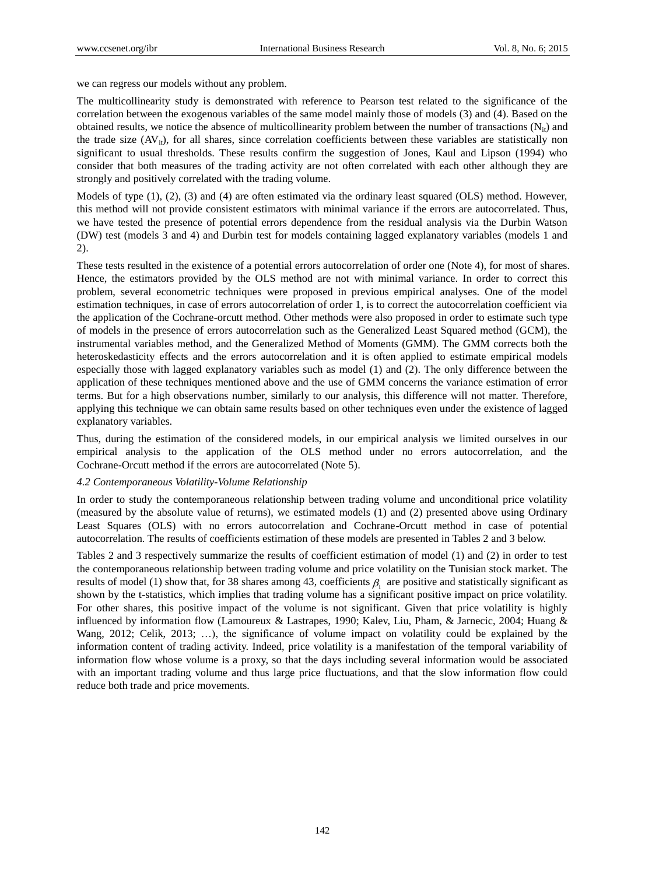we can regress our models without any problem.

The multicollinearity study is demonstrated with reference to Pearson test related to the significance of the correlation between the exogenous variables of the same model mainly those of models (3) and (4). Based on the obtained results, we notice the absence of multicollinearity problem between the number of transactions  $(N_{it})$  and the trade size  $(AV_{i,j})$ , for all shares, since correlation coefficients between these variables are statistically non significant to usual thresholds. These results confirm the suggestion of Jones, Kaul and Lipson (1994) who consider that both measures of the trading activity are not often correlated with each other although they are strongly and positively correlated with the trading volume.

Models of type (1), (2), (3) and (4) are often estimated via the ordinary least squared (OLS) method. However, this method will not provide consistent estimators with minimal variance if the errors are autocorrelated. Thus, we have tested the presence of potential errors dependence from the residual analysis via the Durbin Watson (DW) test (models 3 and 4) and Durbin test for models containing lagged explanatory variables (models 1 and 2).

These tests resulted in the existence of a potential errors autocorrelation of order one (Note 4), for most of shares. Hence, the estimators provided by the OLS method are not with minimal variance. In order to correct this problem, several econometric techniques were proposed in previous empirical analyses. One of the model estimation techniques, in case of errors autocorrelation of order 1, is to correct the autocorrelation coefficient via the application of the Cochrane-orcutt method. Other methods were also proposed in order to estimate such type of models in the presence of errors autocorrelation such as the Generalized Least Squared method (GCM), the instrumental variables method, and the Generalized Method of Moments (GMM). The GMM corrects both the heteroskedasticity effects and the errors autocorrelation and it is often applied to estimate empirical models especially those with lagged explanatory variables such as model (1) and (2). The only difference between the application of these techniques mentioned above and the use of GMM concerns the variance estimation of error terms. But for a high observations number, similarly to our analysis, this difference will not matter. Therefore, applying this technique we can obtain same results based on other techniques even under the existence of lagged explanatory variables.

Thus, during the estimation of the considered models, in our empirical analysis we limited ourselves in our empirical analysis to the application of the OLS method under no errors autocorrelation, and the Cochrane-Orcutt method if the errors are autocorrelated (Note 5).

## *4.2 Contemporaneous Volatility-Volume Relationship*

In order to study the contemporaneous relationship between trading volume and unconditional price volatility (measured by the absolute value of returns), we estimated models (1) and (2) presented above using Ordinary Least Squares (OLS) with no errors autocorrelation and Cochrane-Orcutt method in case of potential autocorrelation. The results of coefficients estimation of these models are presented in Tables 2 and 3 below.

Tables 2 and 3 respectively summarize the results of coefficient estimation of model (1) and (2) in order to test the contemporaneous relationship between trading volume and price volatility on the Tunisian stock market. The results of model (1) show that, for 38 shares among 43, coefficients  $\beta_1$  are positive and statistically significant as shown by the t-statistics, which implies that trading volume has a significant positive impact on price volatility. For other shares, this positive impact of the volume is not significant. Given that price volatility is highly influenced by information flow (Lamoureux & Lastrapes, 1990; Kalev, Liu, Pham, & Jarnecic, 2004; Huang & Wang, 2012; Celik, 2013; …), the significance of volume impact on volatility could be explained by the information content of trading activity. Indeed, price volatility is a manifestation of the temporal variability of information flow whose volume is a proxy, so that the days including several information would be associated with an important trading volume and thus large price fluctuations, and that the slow information flow could reduce both trade and price movements.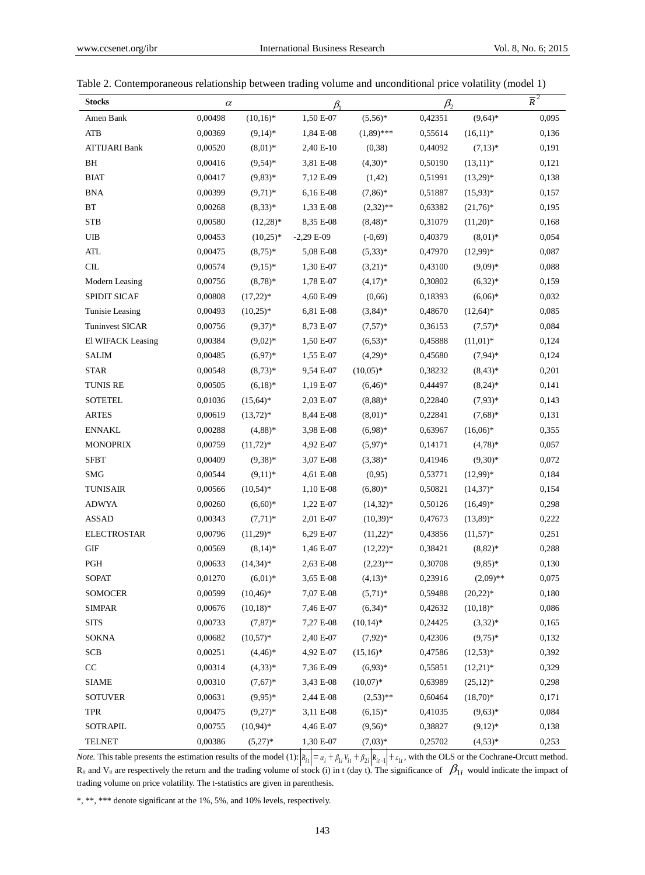| <b>Stocks</b>          | $\alpha$ |              | $\beta_1$   |              | $\beta_{2}$ |              | $\overline{R}^2$ |
|------------------------|----------|--------------|-------------|--------------|-------------|--------------|------------------|
| Amen Bank              | 0,00498  | $(10,16)*$   | 1,50 E-07   | $(5,56)*$    | 0,42351     | $(9,64)*$    | 0,095            |
| <b>ATB</b>             | 0,00369  | $(9,14)^*$   | 1,84 E-08   | $(1,89)$ *** | 0,55614     | $(16,11)*$   | 0,136            |
| <b>ATTIJARI Bank</b>   | 0.00520  | $(8,01)^*$   | 2,40 E-10   | (0, 38)      | 0,44092     | $(7,13)*$    | 0,191            |
| BH                     | 0,00416  | $(9,54)$ *   | 3,81 E-08   | $(4,30)*$    | 0,50190     | $(13,11)*$   | 0,121            |
| <b>BIAT</b>            | 0,00417  | $(9,83)*$    | 7,12 E-09   | (1, 42)      | 0,51991     | $(13,29)*$   | 0,138            |
| <b>BNA</b>             | 0,00399  | $(9,71)*$    | 6,16 E-08   | $(7,86)*$    | 0,51887     | $(15,93)*$   | 0,157            |
| <b>BT</b>              | 0,00268  | $(8,33)*$    | 1,33 E-08   | $(2,32)$ **  | 0,63382     | $(21,76)^*$  | 0,195            |
| <b>STB</b>             | 0,00580  | $(12,28)^*$  | 8,35 E-08   | $(8,48)*$    | 0,31079     | $(11,20)*$   | 0,168            |
| UIB                    | 0,00453  | $(10,25)^*$  | $-2,29E-09$ | $(-0,69)$    | 0,40379     | $(8.01)*$    | 0,054            |
| <b>ATL</b>             | 0,00475  | $(8,75)^*$   | 5,08 E-08   | $(5,33)*$    | 0,47970     | $(12,99)*$   | 0,087            |
| CL                     | 0,00574  | $(9,15)^*$   | 1,30 E-07   | $(3,21)*$    | 0,43100     | $(9,09)*$    | 0,088            |
| Modern Leasing         | 0,00756  | $(8,78)*$    | 1,78 E-07   | $(4,17)*$    | 0,30802     | $(6,32)*$    | 0,159            |
| SPIDIT SICAF           | 0,00808  | $(17,22)*$   | 4,60 E-09   | (0,66)       | 0,18393     | $(6,06)*$    | 0,032            |
| Tunisie Leasing        | 0,00493  | $(10,25)^*$  | 6,81 E-08   | $(3,84)$ *   | 0,48670     | $(12, 64)^*$ | 0,085            |
| <b>Tuninvest SICAR</b> | 0,00756  | $(9,37)*$    | 8,73 E-07   | $(7,57)^*$   | 0,36153     | $(7,57)*$    | 0,084            |
| El WIFACK Leasing      | 0,00384  | $(9.02)$ *   | 1,50 E-07   | $(6,53)*$    | 0,45888     | $(11.01)^*$  | 0,124            |
| <b>SALIM</b>           | 0,00485  | $(6,97)*$    | 1,55 E-07   | $(4,29)*$    | 0,45680     | $(7,94)*$    | 0,124            |
| <b>STAR</b>            | 0,00548  | $(8,73)*$    | 9,54 E-07   | $(10,05)*$   | 0,38232     | $(8,43)*$    | 0,201            |
| <b>TUNIS RE</b>        | 0,00505  | $(6,18)*$    | 1,19 E-07   | $(6,46)*$    | 0,44497     | $(8,24)*$    | 0,141            |
| <b>SOTETEL</b>         | 0,01036  | $(15,64)^*$  | 2,03 E-07   | $(8,88)*$    | 0,22840     | $(7.93)*$    | 0,143            |
| <b>ARTES</b>           | 0,00619  | $(13,72)*$   | 8,44 E-08   | $(8,01)*$    | 0,22841     | $(7,68)*$    | 0,131            |
| <b>ENNAKL</b>          | 0,00288  | $(4,88)*$    | 3,98 E-08   | $(6,98)*$    | 0,63967     | $(16,06)*$   | 0,355            |
| <b>MONOPRIX</b>        | 0,00759  | $(11,72)*$   | 4,92 E-07   | $(5,97)*$    | 0,14171     | $(4,78)*$    | 0,057            |
| <b>SFBT</b>            | 0,00409  | $(9,38)*$    | 3,07 E-08   | $(3,38)*$    | 0,41946     | $(9,30)*$    | 0,072            |
| <b>SMG</b>             | 0,00544  | $(9,11)^*$   | 4,61 E-08   | (0,95)       | 0,53771     | $(12,99)*$   | 0,184            |
| <b>TUNISAIR</b>        | 0,00566  | $(10, 54)^*$ | 1,10 E-08   | $(6,80)*$    | 0,50821     | $(14,37)*$   | 0,154            |
| <b>ADWYA</b>           | 0,00260  | $(6,60)*$    | 1,22 E-07   | $(14,32)^*$  | 0,50126     | $(16,49)*$   | 0,298            |
| <b>ASSAD</b>           | 0,00343  | $(7,71)^*$   | 2,01 E-07   | $(10,39)*$   | 0,47673     | $(13,89)*$   | 0,222            |
| <b>ELECTROSTAR</b>     | 0,00796  | $(11,29)*$   | 6,29 E-07   | $(11,22)*$   | 0,43856     | $(11,57)*$   | 0,251            |
| <b>GIF</b>             | 0,00569  | $(8,14)^*$   | 1,46 E-07   | $(12,22)*$   | 0,38421     | $(8,82)*$    | 0,288            |
| <b>PGH</b>             | 0,00633  | $(14,34)^*$  | 2,63 E-08   | $(2,23)$ **  | 0,30708     | $(9,85)*$    | 0,130            |
| <b>SOPAT</b>           | 0,01270  | $(6,01)^*$   | 3,65 E-08   | $(4,13)*$    | 0,23916     | $(2,09)$ **  | 0,075            |
| <b>SOMOCER</b>         | 0,00599  | $(10, 46)^*$ | 7,07 E-08   | $(5,71)^*$   | 0,59488     | $(20,22)*$   | 0,180            |
| <b>SIMPAR</b>          | 0,00676  | $(10,18)^*$  | 7,46 E-07   | $(6,34)*$    | 0,42632     | $(10,18)*$   | 0,086            |
| <b>SITS</b>            | 0,00733  | $(7, 87)*$   | 7,27 E-08   | $(10,14)*$   | 0,24425     | $(3,32)*$    | 0,165            |
| <b>SOKNA</b>           | 0.00682  | $(10,57)^*$  | 2,40 E-07   | $(7,92)*$    | 0,42306     | $(9,75)*$    | 0,132            |
| <b>SCB</b>             | 0,00251  | $(4,46)*$    | 4,92 E-07   | $(15,16)*$   | 0,47586     | $(12,53)*$   | 0,392            |
| $\rm CC$               | 0,00314  | $(4,33)*$    | 7,36 E-09   | $(6,93)*$    | 0,55851     | $(12,21)*$   | 0,329            |
| <b>SIAME</b>           | 0.00310  | $(7,67)^*$   | 3,43 E-08   | $(10,07)*$   | 0,63989     | $(25,12)*$   | 0,298            |
| <b>SOTUVER</b>         | 0,00631  | $(9,95)*$    | 2,44 E-08   | $(2,53)$ **  | 0,60464     | $(18,70)*$   | 0,171            |
| <b>TPR</b>             | 0,00475  | $(9,27)*$    | 3,11 E-08   | $(6,15)*$    | 0,41035     | $(9,63)*$    | 0,084            |
| <b>SOTRAPIL</b>        | 0,00755  | $(10,94)^*$  | 4,46 E-07   | $(9,56)*$    | 0,38827     | $(9,12)*$    | 0,138            |
| <b>TELNET</b>          | 0,00386  | $(5,27)*$    | 1,30 E-07   | $(7,03)*$    | 0,25702     | $(4,53)*$    | 0,253            |

|  |  | Table 2. Contemporaneous relationship between trading volume and unconditional price volatility (model 1) |  |  |
|--|--|-----------------------------------------------------------------------------------------------------------|--|--|
|  |  |                                                                                                           |  |  |

*Note.* This table presents the estimation results of the model (1):  $R_{it} = \alpha_i + \beta_{1i} V_{it} + \beta_{2i} R_{it-1} + \epsilon_{1i}$ , with the OLS or the Cochrane-Orcutt method.  $R_{it}$  and  $V_{it}$  are respectively the return and the trading volume of stock (i) in t (day t). The significance of  $\beta_{1i}$  would indicate the impact of trading volume on price volatility. The t-statistics are given in parenthesis.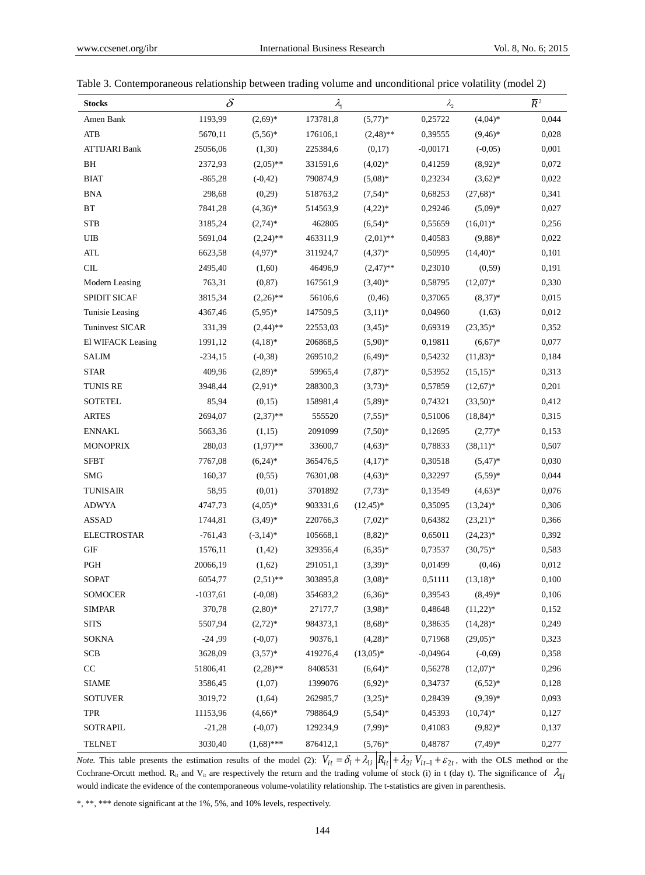| <b>Stocks</b>        | $\delta$   |              | $\lambda_{1}$ |              | $\lambda_{2}$ |              | $\overline{R}^2$ |
|----------------------|------------|--------------|---------------|--------------|---------------|--------------|------------------|
| Amen Bank            | 1193,99    | $(2,69)*$    | 173781,8      | $(5,77)*$    | 0,25722       | $(4,04)*$    | 0,044            |
| <b>ATB</b>           | 5670,11    | $(5,56)*$    | 176106,1      | $(2,48)$ **  | 0,39555       | $(9,46)*$    | 0,028            |
| <b>ATTIJARI Bank</b> | 25056,06   | (1,30)       | 225384,6      | (0,17)       | $-0,00171$    | $(-0,05)$    | 0,001            |
| <b>BH</b>            | 2372,93    | $(2,05)$ **  | 331591,6      | $(4,02)*$    | 0,41259       | $(8,92)*$    | 0,072            |
| <b>BIAT</b>          | $-865,28$  | $(-0, 42)$   | 790874,9      | $(5,08)*$    | 0,23234       | $(3,62)*$    | 0,022            |
| <b>BNA</b>           | 298,68     | (0,29)       | 518763,2      | $(7,54)*$    | 0,68253       | $(27,68)*$   | 0,341            |
| BT                   | 7841,28    | $(4,36)*$    | 514563,9      | $(4,22)*$    | 0,29246       | $(5,09)*$    | 0,027            |
| <b>STB</b>           | 3185,24    | $(2,74)*$    | 462805        | $(6,54)*$    | 0,55659       | $(16,01)*$   | 0,256            |
| UIB                  | 5691,04    | $(2,24)$ **  | 463311,9      | $(2,01)$ **  | 0,40583       | $(9,88)$ *   | 0,022            |
| <b>ATL</b>           | 6623,58    | $(4,97)*$    | 311924,7      | $(4,37)*$    | 0,50995       | $(14,40)*$   | 0,101            |
| CL                   | 2495,40    | (1,60)       | 46496,9       | $(2,47)$ **  | 0,23010       | (0, 59)      | 0,191            |
| Modern Leasing       | 763,31     | (0, 87)      | 167561,9      | $(3,40)*$    | 0,58795       | $(12,07)*$   | 0,330            |
| SPIDIT SICAF         | 3815,34    | $(2,26)$ **  | 56106,6       | (0, 46)      | 0,37065       | $(8,37)^*$   | 0,015            |
| Tunisie Leasing      | 4367,46    | $(5,95)^*$   | 147509,5      | $(3,11)*$    | 0,04960       | (1,63)       | 0,012            |
| Tuninvest SICAR      | 331,39     | $(2,44)$ **  | 22553,03      | $(3,45)*$    | 0,69319       | $(23,35)*$   | 0,352            |
| El WIFACK Leasing    | 1991,12    | $(4,18)*$    | 206868,5      | $(5,90)$ *   | 0,19811       | $(6.67)^*$   | 0,077            |
| <b>SALIM</b>         | $-234,15$  | $(-0, 38)$   | 269510,2      | $(6,49)*$    | 0,54232       | $(11.83)*$   | 0,184            |
| <b>STAR</b>          | 409,96     | $(2,89)*$    | 59965,4       | $(7, 87)^*$  | 0,53952       | $(15,15)^*$  | 0,313            |
| <b>TUNIS RE</b>      | 3948,44    | $(2,91)*$    | 288300,3      | $(3,73)*$    | 0,57859       | $(12,67)*$   | 0,201            |
| <b>SOTETEL</b>       | 85,94      | (0,15)       | 158981,4      | $(5,89)*$    | 0,74321       | $(33,50)*$   | 0,412            |
| <b>ARTES</b>         | 2694,07    | $(2,37)$ **  | 555520        | $(7,55)^*$   | 0,51006       | $(18, 84)^*$ | 0,315            |
| <b>ENNAKL</b>        | 5663,36    | (1,15)       | 2091099       | $(7,50)*$    | 0,12695       | $(2,77)*$    | 0,153            |
| <b>MONOPRIX</b>      | 280,03     | $(1,97)$ **  | 33600,7       | $(4,63)*$    | 0,78833       | $(38,11)*$   | 0,507            |
| <b>SFBT</b>          | 7767,08    | $(6,24)*$    | 365476,5      | $(4,17)*$    | 0,30518       | $(5,47)^*$   | 0,030            |
| <b>SMG</b>           | 160,37     | (0, 55)      | 76301,08      | $(4,63)*$    | 0,32297       | $(5,59)^*$   | 0,044            |
| <b>TUNISAIR</b>      | 58,95      | (0,01)       | 3701892       | $(7,73)*$    | 0,13549       | $(4,63)*$    | 0,076            |
| <b>ADWYA</b>         | 4747,73    | $(4,05)*$    | 903331,6      | $(12, 45)^*$ | 0,35095       | $(13,24)*$   | 0,306            |
| <b>ASSAD</b>         | 1744,81    | $(3,49)*$    | 220766,3      | $(7,02)*$    | 0,64382       | $(23,21)*$   | 0,366            |
| <b>ELECTROSTAR</b>   | $-761,43$  | $(-3,14)*$   | 105668,1      | $(8,82)*$    | 0,65011       | $(24,23)*$   | 0,392            |
| <b>GIF</b>           | 1576,11    | (1, 42)      | 329356,4      | $(6,35)*$    | 0,73537       | $(30,75)*$   | 0,583            |
| PGH                  | 20066,19   | (1,62)       | 291051,1      | $(3,39)*$    | 0,01499       | (0, 46)      | 0,012            |
| <b>SOPAT</b>         | 6054,77    | $(2,51)$ **  | 303895,8      | $(3,08)*$    | 0,51111       | $(13,18)*$   | 0,100            |
| SOMOCER              | $-1037,61$ | $(-0.08)$    | 354683,2      | $(6,36)^*$   | 0,39543       | $(8,49)*$    | 0,106            |
| <b>SIMPAR</b>        | 370,78     | $(2,80)*$    | 27177,7       | $(3,98)*$    | 0,48648       | $(11,22)*$   | 0,152            |
| <b>SITS</b>          | 5507,94    | $(2,72)*$    | 984373,1      | $(8,68)*$    | 0,38635       | $(14,28)*$   | 0,249            |
| <b>SOKNA</b>         | $-24,99$   | $(-0,07)$    | 90376,1       | $(4,28)*$    | 0,71968       | $(29,05)*$   | 0,323            |
| <b>SCB</b>           | 3628,09    | $(3,57)^*$   | 419276,4      | $(13,05)*$   | $-0,04964$    | $(-0,69)$    | 0,358            |
| $\rm CC$             | 51806,41   | $(2,28)$ **  | 8408531       | $(6,64)*$    | 0,56278       | $(12,07)*$   | 0,296            |
| <b>SIAME</b>         | 3586,45    | (1,07)       | 1399076       | $(6,92)*$    | 0,34737       | $(6,52)*$    | 0,128            |
| <b>SOTUVER</b>       | 3019,72    | (1,64)       | 262985,7      | $(3,25)^*$   | 0,28439       | $(9,39)*$    | 0,093            |
| <b>TPR</b>           | 11153,96   | $(4,66)*$    | 798864,9      | $(5.54)^*$   | 0,45393       | $(10,74)*$   | 0,127            |
| <b>SOTRAPIL</b>      | $-21,28$   | $(-0,07)$    | 129234,9      | $(7,99)*$    | 0,41083       | $(9,82)*$    | 0,137            |
| <b>TELNET</b>        | 3030,40    | $(1,68)$ *** | 876412,1      | $(5,76)*$    | 0,48787       | $(7,49)*$    | 0,277            |

| Table 3. Contemporaneous relationship between trading volume and unconditional price volatility (model 2) |  |  |  |
|-----------------------------------------------------------------------------------------------------------|--|--|--|
|                                                                                                           |  |  |  |

*Note.* This table presents the estimation results of the model (2):  $V_{it} = \delta_i + \lambda_{1i} |R_{it}| + \lambda_{2i} V_{it-1} + \varepsilon_{2t}$ , with the OLS method or the Cochrane-Orcutt method.  $R_{it}$  and  $V_{it}$  are respectively the return and the trading volume of stock (i) in t (day t). The significance of  $\lambda_{1i}$ would indicate the evidence of the contemporaneous volume-volatility relationship. The t-statistics are given in parenthesis.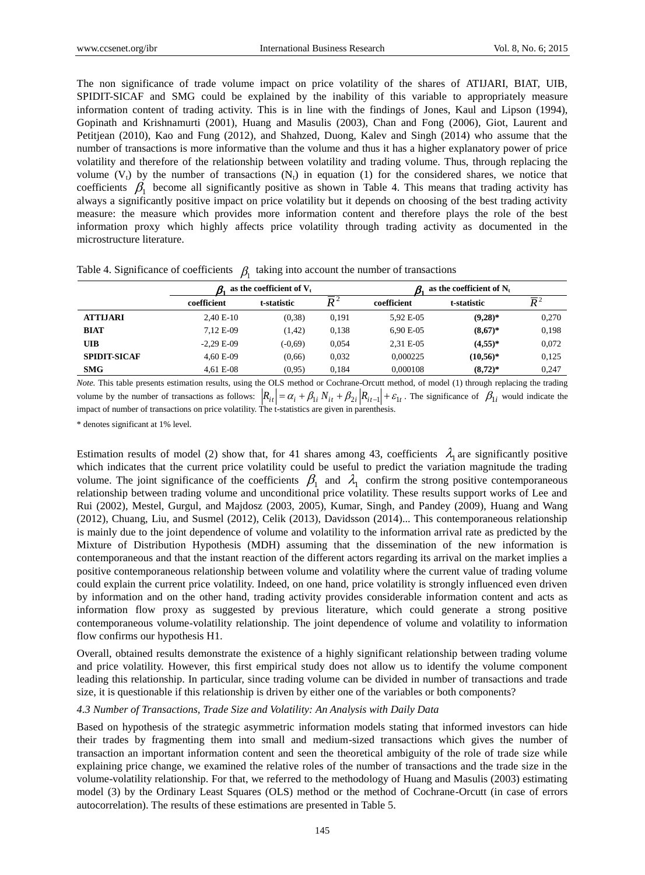The non significance of trade volume impact on price volatility of the shares of ATIJARI, BIAT, UIB, SPIDIT-SICAF and SMG could be explained by the inability of this variable to appropriately measure information content of trading activity. This is in line with the findings of Jones, Kaul and Lipson (1994), Gopinath and Krishnamurti (2001), Huang and Masulis (2003), Chan and Fong (2006), Giot, Laurent and Petitjean (2010), Kao and Fung (2012), and Shahzed, Duong, Kalev and Singh (2014) who assume that the number of transactions is more informative than the volume and thus it has a higher explanatory power of price volatility and therefore of the relationship between volatility and trading volume. Thus, through replacing the volume  $(V_t)$  by the number of transactions  $(N_t)$  in equation (1) for the considered shares, we notice that coefficients  $\beta_1$  become all significantly positive as shown in Table 4. This means that trading activity has always a significantly positive impact on price volatility but it depends on choosing of the best trading activity measure: the measure which provides more information content and therefore plays the role of the best information proxy which highly affects price volatility through trading activity as documented in the microstructure literature.

|                     |             | as the coefficient of $V_t$ |                  | as the coefficient of $N_t$ |             |                  |
|---------------------|-------------|-----------------------------|------------------|-----------------------------|-------------|------------------|
|                     | coefficient | t-statistic                 | $\overline{D}^2$ | coefficient                 | t-statistic | $\overline{D}^2$ |
| <b>ATTIJARI</b>     | $2.40 E-10$ | (0.38)                      | 0.191            | 5.92 E-05                   | $(9,28)$ *  | 0,270            |
| <b>BIAT</b>         | 7.12 E-09   | (1, 42)                     | 0.138            | $6.90 E-0.5$                | $(8,67)^*$  | 0,198            |
| <b>UIB</b>          | $-2.29E-09$ | $(-0.69)$                   | 0.054            | 2.31 E-05                   | $(4,55)*$   | 0,072            |
| <b>SPIDIT-SICAF</b> | 4,60 E-09   | (0,66)                      | 0,032            | 0.000225                    | $(10,56)*$  | 0,125            |

Table 4. Significance of coefficients  $\beta_1$  taking into account the number of transactions

*Note.* This table presents estimation results, using the OLS method or Cochrane-Orcutt method, of model (1) through replacing the trading volume by the number of transactions as follows:  $|R_{it}| = \alpha_i + \beta_{1i} N_{it} + \beta_{2i} |R_{it-1}| + \varepsilon_{1t}$ . The significance of  $\beta_{1i}$  would indicate the impact of number of transactions on price volatility. The t-statistics are given in parenthesis.

**SMG** 4,61 E-08 (0,95) 0,184 0,000108 **(8,72)\*** 0,247

\* denotes significant at 1% level.

Estimation results of model (2) show that, for 41 shares among 43, coefficients  $\lambda_1$  are significantly positive which indicates that the current price volatility could be useful to predict the variation magnitude the trading volume. The joint significance of the coefficients  $\beta_1$  and  $\lambda_1$  confirm the strong positive contemporaneous relationship between trading volume and unconditional price volatility. These results support works of Lee and Rui (2002), Mestel, Gurgul, and Majdosz (2003, 2005), Kumar, Singh, and Pandey (2009), Huang and Wang (2012), Chuang, Liu, and Susmel (2012), Celik (2013), Davidsson (2014)... This contemporaneous relationship is mainly due to the joint dependence of volume and volatility to the information arrival rate as predicted by the Mixture of Distribution Hypothesis (MDH) assuming that the dissemination of the new information is contemporaneous and that the instant reaction of the different actors regarding its arrival on the market implies a positive contemporaneous relationship between volume and volatility where the current value of trading volume could explain the current price volatility. Indeed, on one hand, price volatility is strongly influenced even driven by information and on the other hand, trading activity provides considerable information content and acts as information flow proxy as suggested by previous literature, which could generate a strong positive contemporaneous volume-volatility relationship. The joint dependence of volume and volatility to information flow confirms our hypothesis H1.

Overall, obtained results demonstrate the existence of a highly significant relationship between trading volume and price volatility. However, this first empirical study does not allow us to identify the volume component leading this relationship. In particular, since trading volume can be divided in number of transactions and trade size, it is questionable if this relationship is driven by either one of the variables or both components?

## *4.3 Number of Transactions, Trade Size and Volatility: An Analysis with Daily Data*

Based on hypothesis of the strategic asymmetric information models stating that informed investors can hide their trades by fragmenting them into small and medium-sized transactions which gives the number of transaction an important information content and seen the theoretical ambiguity of the role of trade size while explaining price change, we examined the relative roles of the number of transactions and the trade size in the volume-volatility relationship. For that, we referred to the methodology of Huang and Masulis (2003) estimating model (3) by the Ordinary Least Squares (OLS) method or the method of Cochrane-Orcutt (in case of errors autocorrelation). The results of these estimations are presented in Table 5.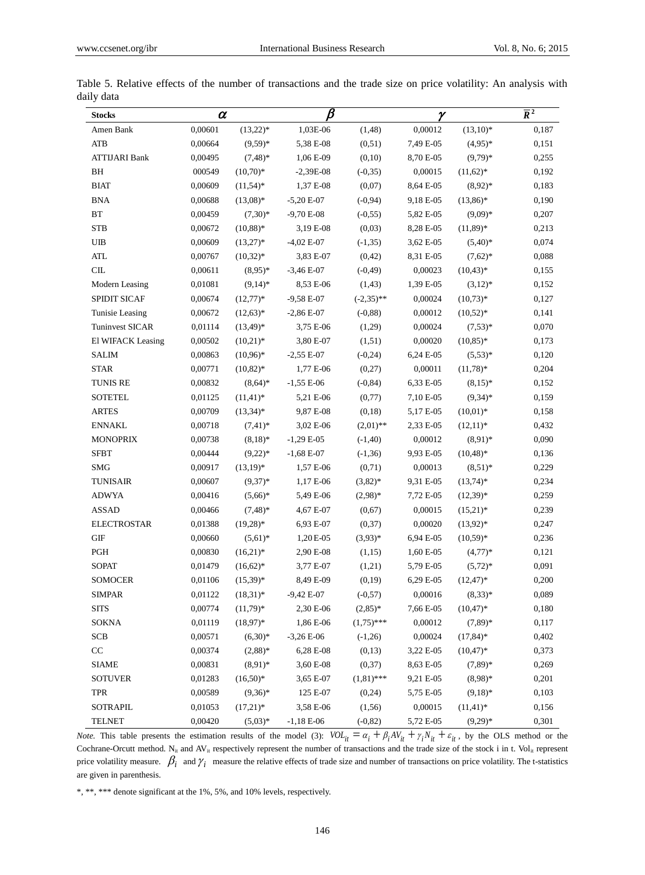| <b>Stocks</b>               | $\alpha$ |              | $\pmb{\beta}$ |              | γ         |               | $\overline{R}^2$ |
|-----------------------------|----------|--------------|---------------|--------------|-----------|---------------|------------------|
| Amen Bank                   | 0,00601  | $(13,22)*$   | 1,03E-06      | (1, 48)      | 0,00012   | $(13,10)*$    | 0,187            |
| <b>ATB</b>                  | 0,00664  | $(9,59)*$    | 5,38 E-08     | (0,51)       | 7,49 E-05 | $(4.95)*$     | 0,151            |
| <b>ATTIJARI Bank</b>        | 0,00495  | $(7,48)$ *   | 1,06 E-09     | (0,10)       | 8,70 E-05 | $(9,79)*$     | 0,255            |
| BH                          | 000549   | $(10,70)*$   | $-2,39E-08$   | $(-0, 35)$   | 0,00015   | $(11,62)^*$   | 0,192            |
| <b>BIAT</b>                 | 0,00609  | $(11,54)*$   | 1,37 E-08     | (0,07)       | 8,64 E-05 | $(8.92)*$     | 0,183            |
| <b>BNA</b>                  | 0,00688  | $(13,08)*$   | $-5,20E-07$   | $(-0,94)$    | 9,18 E-05 | $(13,86)*$    | 0,190            |
| BT                          | 0,00459  | $(7,30)*$    | $-9,70E-08$   | $(-0, 55)$   | 5,82 E-05 | $(9,09)*$     | 0,207            |
| <b>STB</b>                  | 0,00672  | $(10,88)*$   | 3,19 E-08     | (0,03)       | 8,28 E-05 | $(11,89)*$    | 0,213            |
| <b>UIB</b>                  | 0,00609  | $(13,27)*$   | $-4,02$ E-07  | $(-1, 35)$   | 3,62 E-05 | $(5,40)*$     | 0,074            |
| <b>ATL</b>                  | 0,00767  | $(10,32)^*$  | 3,83 E-07     | (0,42)       | 8,31 E-05 | $(7,62)*$     | 0,088            |
| $\mathop{\rm CIL}\nolimits$ | 0,00611  | $(8,95)*$    | $-3,46E-07$   | $(-0, 49)$   | 0,00023   | $(10, 43)^*$  | 0,155            |
| Modern Leasing              | 0,01081  | $(9,14)*$    | 8,53 E-06     | (1, 43)      | 1,39 E-05 | $(3,12)*$     | 0,152            |
| <b>SPIDIT SICAF</b>         | 0,00674  | $(12,77)*$   | $-9,58E-07$   | $(-2,35)$ ** | 0,00024   | $(10,73)*$    | 0,127            |
| Tunisie Leasing             | 0,00672  | $(12,63)*$   | $-2,86E-07$   | $(-0, 88)$   | 0,00012   | $(10,52)*$    | 0,141            |
| <b>Tuninvest SICAR</b>      | 0,01114  | $(13,49)^*$  | 3,75 E-06     | (1,29)       | 0,00024   | $(7,53)*$     | 0,070            |
| El WIFACK Leasing           | 0,00502  | $(10,21)$ *  | 3,80 E-07     | (1,51)       | 0,00020   | $(10, 85)^*$  | 0,173            |
| <b>SALIM</b>                | 0,00863  | $(10,96)*$   | $-2,55E-07$   | $(-0,24)$    | 6,24 E-05 | $(5,53)*$     | 0,120            |
| <b>STAR</b>                 | 0,00771  | $(10,82)*$   | 1,77 E-06     | (0,27)       | 0,00011   | $(11,78)^*$   | 0,204            |
| <b>TUNIS RE</b>             | 0,00832  | $(8,64)*$    | $-1,55E-06$   | $(-0, 84)$   | 6,33 E-05 | $(8,15)^*$    | 0,152            |
| <b>SOTETEL</b>              | 0,01125  | $(11, 41)^*$ | 5,21 E-06     | (0,77)       | 7,10 E-05 | $(9,34)*$     | 0,159            |
| <b>ARTES</b>                | 0,00709  | $(13,34)*$   | 9,87 E-08     | (0,18)       | 5,17 E-05 | $(10,01)*$    | 0,158            |
| <b>ENNAKL</b>               | 0,00718  | $(7,41)*$    | 3,02 E-06     | $(2,01)$ **  | 2,33 E-05 | $(12,11)^*$   | 0,432            |
| <b>MONOPRIX</b>             | 0,00738  | $(8,18)^*$   | $-1,29E-05$   | $(-1,40)$    | 0,00012   | $(8,91)*$     | 0,090            |
| <b>SFBT</b>                 | 0,00444  | $(9,22)*$    | $-1,68E-07$   | $(-1,36)$    | 9,93 E-05 | $(10, 48)^*$  | 0,136            |
| <b>SMG</b>                  | 0,00917  | $(13,19)^*$  | 1,57 E-06     | (0,71)       | 0,00013   | $(8,51)^*$    | 0,229            |
| <b>TUNISAIR</b>             | 0,00607  | $(9,37)*$    | 1,17 E-06     | $(3,82)*$    | 9,31 E-05 | $(13,74)^*$   | 0,234            |
| <b>ADWYA</b>                | 0,00416  | $(5,66)*$    | 5,49 E-06     | $(2,98)*$    | 7,72 E-05 | $(12,39)^*$   | 0,259            |
| <b>ASSAD</b>                | 0,00466  | $(7,48)$ *   | 4,67 E-07     | (0,67)       | 0,00015   | $(15,21)^*$   | 0,239            |
| <b>ELECTROSTAR</b>          | 0,01388  | $(19,28)*$   | 6,93 E-07     | (0,37)       | 0,00020   | $(13.92)^{*}$ | 0,247            |
| <b>GIF</b>                  | 0,00660  | $(5.61)^*$   | 1,20 E-05     | $(3,93)*$    | 6,94 E-05 | $(10,59)*$    | 0,236            |
| PGH                         | 0,00830  | $(16,21)*$   | 2,90 E-08     | (1,15)       | 1,60 E-05 | $(4,77)*$     | 0,121            |
| <b>SOPAT</b>                | 0,01479  | $(16,62)*$   | 3,77 E-07     | (1,21)       | 5,79 E-05 | $(5,72)*$     | 0,091            |
| <b>SOMOCER</b>              | 0,01106  | $(15,39)^*$  | 8,49 E-09     | (0,19)       | 6,29 E-05 | $(12, 47)^*$  | 0,200            |
| SIMPAR                      | 0,01122  | $(18,31)^*$  | $-9,42 E-07$  | $(-0,57)$    | 0,00016   | $(8,33)*$     | 0,089            |
| <b>SITS</b>                 | 0,00774  | $(11,79)*$   | 2,30 E-06     | $(2,85)^*$   | 7,66 E-05 | $(10, 47)^*$  | 0,180            |
| <b>SOKNA</b>                | 0,01119  | $(18,97)*$   | 1,86 E-06     | $(1,75)$ *** | 0,00012   | $(7,89)*$     | 0,117            |
| <b>SCB</b>                  | 0,00571  | $(6,30)*$    | $-3,26E-06$   | $(-1,26)$    | 0,00024   | $(17, 84)^*$  | 0,402            |
| CC                          | 0,00374  | $(2,88)*$    | 6,28 E-08     | (0,13)       | 3,22 E-05 | $(10, 47)^*$  | 0,373            |
| <b>SIAME</b>                | 0,00831  | $(8,91)*$    | 3,60 E-08     | (0,37)       | 8,63 E-05 | $(7,89)*$     | 0,269            |
| <b>SOTUVER</b>              | 0,01283  | $(16,50)*$   | 3,65 E-07     | $(1,81)$ *** | 9,21 E-05 | $(8,98)*$     | 0,201            |
| <b>TPR</b>                  | 0,00589  | $(9,36)*$    | 125 E-07      | (0,24)       | 5,75 E-05 | $(9,18)*$     | 0,103            |
| <b>SOTRAPIL</b>             | 0,01053  | $(17,21)*$   | 3,58 E-06     | (1, 56)      | 0,00015   | $(11, 41)^*$  | 0,156            |
| <b>TELNET</b>               | 0,00420  | $(5,03)*$    | $-1,18E-06$   | $(-0, 82)$   | 5,72 E-05 | $(9,29)*$     | 0,301            |

Table 5. Relative effects of the number of transactions and the trade size on price volatility: An analysis with daily data

*Note.* This table presents the estimation results of the model (3):  $VOL_{it} = \alpha_i + \beta_i AV_{it} + \gamma_i N_{it} + \varepsilon_{it}$ , by the OLS method or the Cochrane-Orcutt method. N<sub>it</sub> and AV<sub>it</sub> respectively represent the number of transactions and the trade size of the stock i in t. Vol<sub>it</sub> represent price volatility measure.  $\beta_i$  and  $\gamma_i$  measure the relative effects of trade size and number of transactions on price volatility. The t-statistics are given in parenthesis.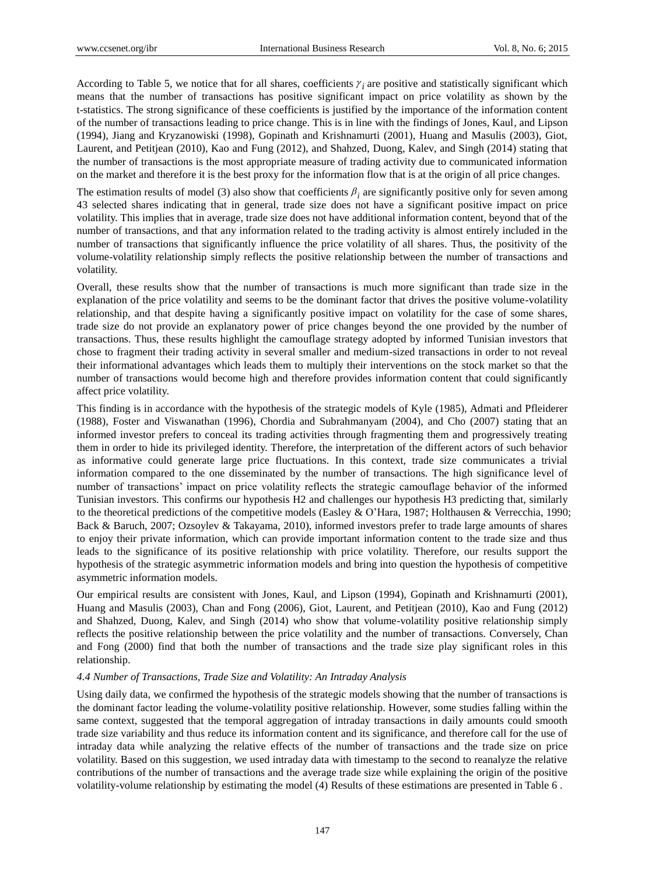According to Table 5, we notice that for all shares, coefficients  $\gamma_i$  are positive and statistically significant which means that the number of transactions has positive significant impact on price volatility as shown by the t-statistics. The strong significance of these coefficients is justified by the importance of the information content of the number of transactions leading to price change. This is in line with the findings of Jones, Kaul, and Lipson (1994), Jiang and Kryzanowiski (1998), Gopinath and Krishnamurti (2001), Huang and Masulis (2003), Giot, Laurent, and Petitjean (2010), Kao and Fung (2012), and Shahzed, Duong, Kalev, and Singh (2014) stating that the number of transactions is the most appropriate measure of trading activity due to communicated information on the market and therefore it is the best proxy for the information flow that is at the origin of all price changes.

The estimation results of model (3) also show that coefficients  $\beta_i$  are significantly positive only for seven among 43 selected shares indicating that in general, trade size does not have a significant positive impact on price volatility. This implies that in average, trade size does not have additional information content, beyond that of the number of transactions, and that any information related to the trading activity is almost entirely included in the number of transactions that significantly influence the price volatility of all shares. Thus, the positivity of the volume-volatility relationship simply reflects the positive relationship between the number of transactions and volatility.

Overall, these results show that the number of transactions is much more significant than trade size in the explanation of the price volatility and seems to be the dominant factor that drives the positive volume-volatility relationship, and that despite having a significantly positive impact on volatility for the case of some shares, trade size do not provide an explanatory power of price changes beyond the one provided by the number of transactions. Thus, these results highlight the camouflage strategy adopted by informed Tunisian investors that chose to fragment their trading activity in several smaller and medium-sized transactions in order to not reveal their informational advantages which leads them to multiply their interventions on the stock market so that the number of transactions would become high and therefore provides information content that could significantly affect price volatility.

This finding is in accordance with the hypothesis of the strategic models of Kyle (1985), Admati and Pfleiderer (1988), Foster and Viswanathan (1996), Chordia and Subrahmanyam (2004), and Cho (2007) stating that an informed investor prefers to conceal its trading activities through fragmenting them and progressively treating them in order to hide its privileged identity. Therefore, the interpretation of the different actors of such behavior as informative could generate large price fluctuations. In this context, trade size communicates a trivial information compared to the one disseminated by the number of transactions. The high significance level of number of transactions' impact on price volatility reflects the strategic camouflage behavior of the informed Tunisian investors. This confirms our hypothesis H2 and challenges our hypothesis H3 predicting that, similarly to the theoretical predictions of the competitive models (Easley & O'Hara, 1987; Holthausen & Verrecchia, 1990; Back & Baruch, 2007; Ozsoylev & Takayama, 2010), informed investors prefer to trade large amounts of shares to enjoy their private information, which can provide important information content to the trade size and thus leads to the significance of its positive relationship with price volatility. Therefore, our results support the hypothesis of the strategic asymmetric information models and bring into question the hypothesis of competitive asymmetric information models.

Our empirical results are consistent with Jones, Kaul, and Lipson (1994), Gopinath and Krishnamurti (2001), Huang and Masulis (2003), Chan and Fong (2006), Giot, Laurent, and Petitjean (2010), Kao and Fung (2012) and Shahzed, Duong, Kalev, and Singh (2014) who show that volume-volatility positive relationship simply reflects the positive relationship between the price volatility and the number of transactions. Conversely, Chan and Fong (2000) find that both the number of transactions and the trade size play significant roles in this relationship.

#### *4.4 Number of Transactions, Trade Size and Volatility: An Intraday Analysis*

Using daily data, we confirmed the hypothesis of the strategic models showing that the number of transactions is the dominant factor leading the volume-volatility positive relationship. However, some studies falling within the same context, suggested that the temporal aggregation of intraday transactions in daily amounts could smooth trade size variability and thus reduce its information content and its significance, and therefore call for the use of intraday data while analyzing the relative effects of the number of transactions and the trade size on price volatility. Based on this suggestion, we used intraday data with timestamp to the second to reanalyze the relative contributions of the number of transactions and the average trade size while explaining the origin of the positive volatility-volume relationship by estimating the model (4) Results of these estimations are presented in Table 6 .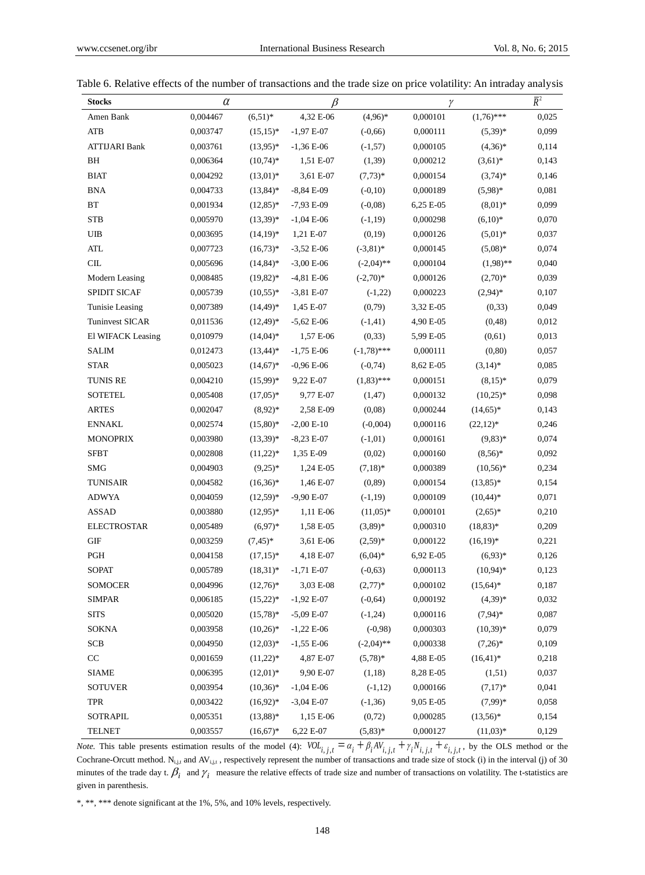| <b>Stocks</b>        | $\alpha$ |              | $\beta$      |               | γ         |              | $\overline{R}^2$ |
|----------------------|----------|--------------|--------------|---------------|-----------|--------------|------------------|
| Amen Bank            | 0,004467 | $(6,51)^*$   | 4,32 E-06    | $(4,96)*$     | 0,000101  | $(1,76)$ *** | 0,025            |
| <b>ATB</b>           | 0,003747 | $(15,15)^*$  | $-1,97E-07$  | $(-0,66)$     | 0,000111  | $(5,39)^*$   | 0,099            |
| <b>ATTIJARI Bank</b> | 0,003761 | $(13.95)^*$  | $-1,36E-06$  | $(-1,57)$     | 0,000105  | $(4,36)^*$   | 0,114            |
| BH                   | 0,006364 | $(10,74)*$   | 1,51 E-07    | (1,39)        | 0,000212  | $(3,61)*$    | 0,143            |
| <b>BIAT</b>          | 0,004292 | $(13,01)^*$  | 3,61 E-07    | $(7,73)*$     | 0,000154  | $(3,74)^*$   | 0,146            |
| <b>BNA</b>           | 0,004733 | $(13, 84)^*$ | $-8,84E-09$  | $(-0,10)$     | 0,000189  | $(5,98)^{*}$ | 0,081            |
| BT                   | 0,001934 | $(12,85)^*$  | $-7,93E-09$  | $(-0.08)$     | 6,25 E-05 | $(8,01)^*$   | 0,099            |
| <b>STB</b>           | 0,005970 | $(13,39)^*$  | $-1,04E-06$  | $(-1, 19)$    | 0,000298  | $(6,10)*$    | 0,070            |
| UIB                  | 0,003695 | $(14,19)^*$  | 1,21 E-07    | (0,19)        | 0,000126  | $(5,01)^*$   | 0,037            |
| <b>ATL</b>           | 0,007723 | $(16,73)*$   | $-3,52E-06$  | $(-3,81)^*$   | 0,000145  | $(5,08)^*$   | 0,074            |
| CL                   | 0,005696 | $(14, 84)^*$ | $-3,00E-06$  | $(-2,04)$ **  | 0,000104  | $(1,98)$ **  | 0,040            |
| Modern Leasing       | 0,008485 | $(19,82)*$   | $-4,81 E-06$ | $(-2,70)*$    | 0,000126  | $(2,70)*$    | 0,039            |
| SPIDIT SICAF         | 0,005739 | $(10,55)^*$  | $-3,81 E-07$ | $(-1,22)$     | 0,000223  | $(2,94)*$    | 0,107            |
| Tunisie Leasing      | 0,007389 | $(14,49)*$   | 1,45 E-07    | (0,79)        | 3,32 E-05 | (0, 33)      | 0,049            |
| Tuninvest SICAR      | 0,011536 | $(12, 49)^*$ | $-5,62E-06$  | $(-1, 41)$    | 4,90 E-05 | (0, 48)      | 0,012            |
| El WIFACK Leasing    | 0,010979 | $(14,04)*$   | 1,57 E-06    | (0, 33)       | 5,99 E-05 | (0,61)       | 0,013            |
| <b>SALIM</b>         | 0,012473 | $(13,44)^*$  | $-1,75E-06$  | $(-1,78)$ *** | 0,000111  | (0, 80)      | 0,057            |
| <b>STAR</b>          | 0,005023 | $(14,67)*$   | $-0,96E-06$  | $(-0, 74)$    | 8,62 E-05 | $(3,14)^*$   | 0,085            |
| <b>TUNIS RE</b>      | 0,004210 | $(15,99)^*$  | 9,22 E-07    | $(1,83)$ ***  | 0,000151  | $(8,15)^*$   | 0,079            |
| <b>SOTETEL</b>       | 0,005408 | $(17,05)^*$  | 9,77 E-07    | (1, 47)       | 0,000132  | $(10,25)*$   | 0,098            |
| <b>ARTES</b>         | 0,002047 | $(8,92)*$    | 2,58 E-09    | (0,08)        | 0,000244  | $(14,65)^*$  | 0,143            |
| <b>ENNAKL</b>        | 0,002574 | $(15,80)*$   | $-2,00E-10$  | $(-0,004)$    | 0,000116  | $(22,12)*$   | 0,246            |
| <b>MONOPRIX</b>      | 0,003980 | $(13,39)^*$  | $-8,23E-07$  | $(-1,01)$     | 0,000161  | $(9,83)*$    | 0,074            |
| <b>SFBT</b>          | 0,002808 | $(11,22)*$   | 1,35 E-09    | (0,02)        | 0,000160  | $(8,56)^*$   | 0,092            |
| <b>SMG</b>           | 0,004903 | $(9,25)*$    | 1,24 E-05    | $(7,18)^*$    | 0,000389  | $(10,56)*$   | 0,234            |
| <b>TUNISAIR</b>      | 0,004582 | $(16,36)^*$  | 1,46 E-07    | (0, 89)       | 0,000154  | $(13,85)^*$  | 0,154            |
| <b>ADWYA</b>         | 0,004059 | $(12,59)^*$  | $-9,90E-07$  | $(-1, 19)$    | 0,000109  | $(10, 44)*$  | 0,071            |
| <b>ASSAD</b>         | 0,003880 | $(12,95)^*$  | 1,11 E-06    | $(11,05)^*$   | 0,000101  | $(2,65)^*$   | 0,210            |
| <b>ELECTROSTAR</b>   | 0,005489 | $(6,97)*$    | 1,58 E-05    | $(3,89)*$     | 0,000310  | $(18,83)*$   | 0,209            |
| <b>GIF</b>           | 0,003259 | $(7, 45)^*$  | 3,61 E-06    | $(2,59)^*$    | 0,000122  | $(16,19)^*$  | 0,221            |
| PGH                  | 0,004158 | $(17,15)^*$  | 4,18 E-07    | $(6,04)^*$    | 6,92 E-05 | $(6,93)*$    | 0,126            |
| <b>SOPAT</b>         | 0,005789 | $(18,31)^*$  | $-1,71E-07$  | $(-0,63)$     | 0,000113  | $(10,94)$ *  | 0,123            |
| <b>SOMOCER</b>       | 0,004996 | $(12,76)^*$  | 3,03 E-08    | $(2,77)*$     | 0,000102  | $(15, 64)^*$ | 0,187            |
| <b>SIMPAR</b>        | 0,006185 | $(15,22)*$   | $-1,92E-07$  | $(-0, 64)$    | 0,000192  | $(4,39)*$    | 0,032            |
| <b>SITS</b>          | 0,005020 | $(15,78)^*$  | $-5,09E-07$  | $(-1,24)$     | 0,000116  | $(7,94)$ *   | 0,087            |
| <b>SOKNA</b>         | 0,003958 | $(10,26)^*$  | $-1,22E-06$  | $(-0,98)$     | 0,000303  | $(10,39)*$   | 0,079            |
| <b>SCB</b>           | 0,004950 | $(12,03)*$   | $-1,55E-06$  | $(-2,04)$ **  | 0,000338  | $(7,26)^*$   | 0,109            |
| CC                   | 0,001659 | $(11,22)*$   | 4,87 E-07    | $(5,78)^*$    | 4,88 E-05 | $(16, 41)^*$ | 0,218            |
| <b>SIAME</b>         | 0,006395 | $(12,01)*$   | 9,90 E-07    | (1,18)        | 8,28 E-05 | (1,51)       | 0,037            |
| <b>SOTUVER</b>       | 0,003954 | $(10,36)*$   | $-1,04E-06$  | $(-1,12)$     | 0,000166  | $(7,17)^*$   | 0,041            |
| <b>TPR</b>           | 0,003422 | $(16,92)*$   | $-3,04 E-07$ | $(-1, 36)$    | 9,05 E-05 | $(7,99)*$    | 0,058            |
| SOTRAPIL             | 0,005351 | $(13,88)*$   | 1,15 E-06    | (0, 72)       | 0,000285  | $(13,56)*$   | 0,154            |
| <b>TELNET</b>        | 0,003557 | $(16,67)*$   | 6,22 E-07    | $(5,83)*$     | 0,000127  | $(11,03)*$   | 0,129            |

*Note.* This table presents estimation results of the model (4):  $VOL_{i,j,t} = \alpha_i + \beta_i AV_{i,j,t} + \gamma_i N_{i,j,t} + \varepsilon_{i,j,t}$ , by the OLS method or the Cochrane-Orcutt method.  $N_{i,j,t}$  and  $AV_{i,j,t}$ , respectively represent the number of transactions and trade size of stock (i) in the interval (j) of 30 minutes of the trade day t.  $\beta_i$  and  $\gamma_i$  measure the relative effects of trade size and number of transactions on volatility. The t-statistics are given in parenthesis.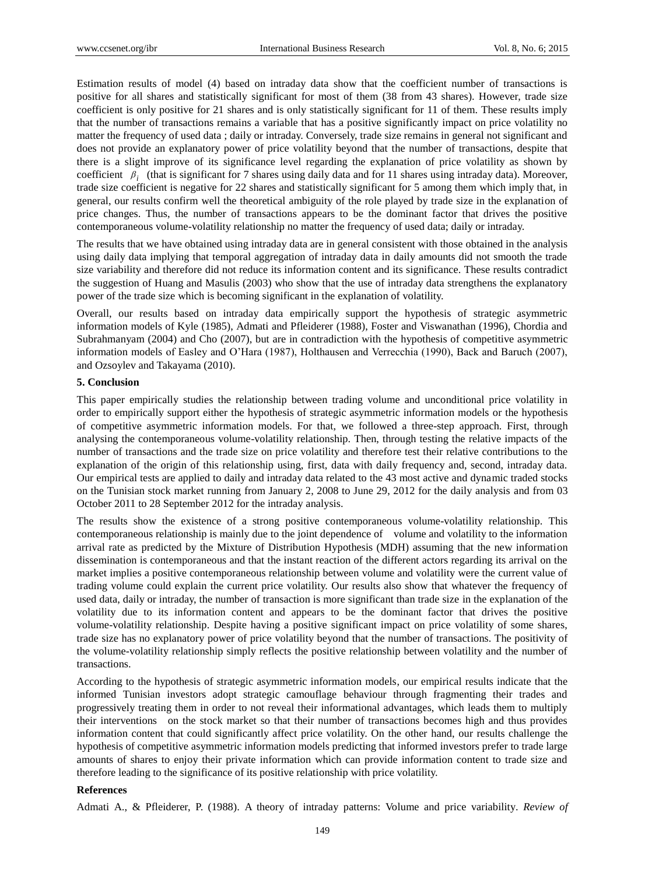Estimation results of model (4) based on intraday data show that the coefficient number of transactions is positive for all shares and statistically significant for most of them (38 from 43 shares). However, trade size coefficient is only positive for 21 shares and is only statistically significant for 11 of them. These results imply that the number of transactions remains a variable that has a positive significantly impact on price volatility no matter the frequency of used data ; daily or intraday. Conversely, trade size remains in general not significant and does not provide an explanatory power of price volatility beyond that the number of transactions, despite that there is a slight improve of its significance level regarding the explanation of price volatility as shown by coefficient  $\beta_i$  (that is significant for 7 shares using daily data and for 11 shares using intraday data). Moreover, trade size coefficient is negative for 22 shares and statistically significant for 5 among them which imply that, in general, our results confirm well the theoretical ambiguity of the role played by trade size in the explanation of price changes. Thus, the number of transactions appears to be the dominant factor that drives the positive contemporaneous volume-volatility relationship no matter the frequency of used data; daily or intraday.

The results that we have obtained using intraday data are in general consistent with those obtained in the analysis using daily data implying that temporal aggregation of intraday data in daily amounts did not smooth the trade size variability and therefore did not reduce its information content and its significance. These results contradict the suggestion of Huang and Masulis (2003) who show that the use of intraday data strengthens the explanatory power of the trade size which is becoming significant in the explanation of volatility.

Overall, our results based on intraday data empirically support the hypothesis of strategic asymmetric information models of Kyle (1985), Admati and Pfleiderer (1988), Foster and Viswanathan (1996), Chordia and Subrahmanyam (2004) and Cho (2007), but are in contradiction with the hypothesis of competitive asymmetric information models of Easley and O'Hara (1987), Holthausen and Verrecchia (1990), Back and Baruch (2007), and Ozsoylev and Takayama (2010).

## **5. Conclusion**

This paper empirically studies the relationship between trading volume and unconditional price volatility in order to empirically support either the hypothesis of strategic asymmetric information models or the hypothesis of competitive asymmetric information models. For that, we followed a three-step approach. First, through analysing the contemporaneous volume-volatility relationship. Then, through testing the relative impacts of the number of transactions and the trade size on price volatility and therefore test their relative contributions to the explanation of the origin of this relationship using, first, data with daily frequency and, second, intraday data. Our empirical tests are applied to daily and intraday data related to the 43 most active and dynamic traded stocks on the Tunisian stock market running from January 2, 2008 to June 29, 2012 for the daily analysis and from 03 October 2011 to 28 September 2012 for the intraday analysis.

The results show the existence of a strong positive contemporaneous volume-volatility relationship. This contemporaneous relationship is mainly due to the joint dependence of volume and volatility to the information arrival rate as predicted by the Mixture of Distribution Hypothesis (MDH) assuming that the new information dissemination is contemporaneous and that the instant reaction of the different actors regarding its arrival on the market implies a positive contemporaneous relationship between volume and volatility were the current value of trading volume could explain the current price volatility. Our results also show that whatever the frequency of used data, daily or intraday, the number of transaction is more significant than trade size in the explanation of the volatility due to its information content and appears to be the dominant factor that drives the positive volume-volatility relationship. Despite having a positive significant impact on price volatility of some shares, trade size has no explanatory power of price volatility beyond that the number of transactions. The positivity of the volume-volatility relationship simply reflects the positive relationship between volatility and the number of transactions.

According to the hypothesis of strategic asymmetric information models, our empirical results indicate that the informed Tunisian investors adopt strategic camouflage behaviour through fragmenting their trades and progressively treating them in order to not reveal their informational advantages, which leads them to multiply their interventions on the stock market so that their number of transactions becomes high and thus provides information content that could significantly affect price volatility. On the other hand, our results challenge the hypothesis of competitive asymmetric information models predicting that informed investors prefer to trade large amounts of shares to enjoy their private information which can provide information content to trade size and therefore leading to the significance of its positive relationship with price volatility.

#### **References**

Admati A., & Pfleiderer, P. (1988). A theory of intraday patterns: Volume and price variability. *Review of*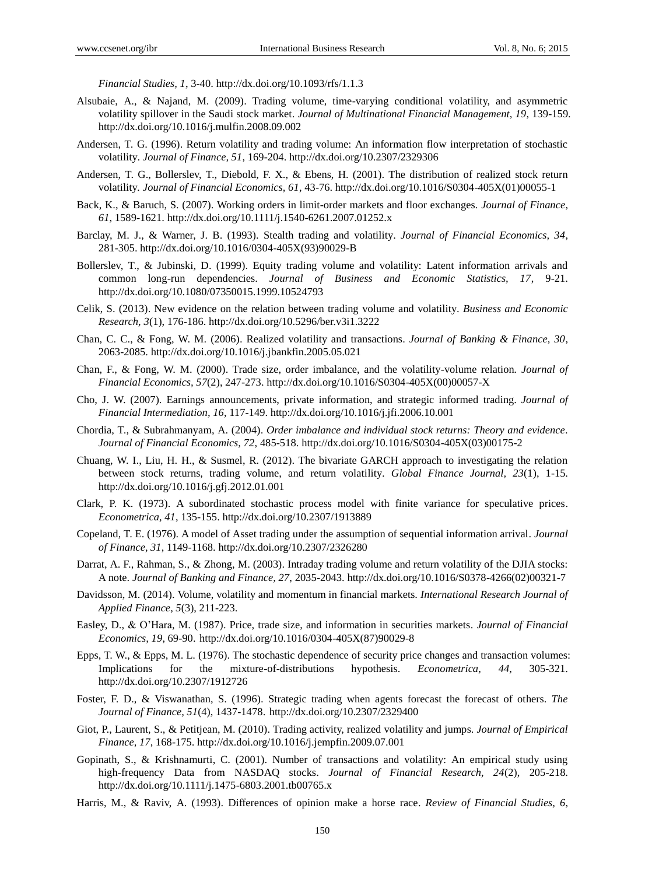*Financial Studies, 1*, 3-40. http://dx.doi.org/10.1093/rfs/1.1.3

- Alsubaie, A., & Najand, M. (2009). Trading volume, time-varying conditional volatility, and asymmetric volatility spillover in the Saudi stock market. *Journal of Multinational Financial Management, 19*, 139-159. http://dx.doi.org/10.1016/j.mulfin.2008.09.002
- Andersen, T. G. (1996). Return volatility and trading volume: An information flow interpretation of stochastic volatility. *Journal of Finance, 51*, 169-204. http://dx.doi.org/10.2307/2329306
- Andersen, T. G., Bollerslev, T., Diebold, F. X., & Ebens, H. (2001). The distribution of realized stock return volatility*. Journal of Financial Economics, 61*, 43-76. http://dx.doi.org/10.1016/S0304-405X(01)00055-1
- Back, K., & Baruch, S. (2007). Working orders in limit-order markets and floor exchanges*. Journal of Finance, 61*, 1589-1621. http://dx.doi.org/10.1111/j.1540-6261.2007.01252.x
- Barclay, M. J., & Warner, J. B. (1993). Stealth trading and volatility. *Journal of Financial Economics, 34*, 281-305. http://dx.doi.org/10.1016/0304-405X(93)90029-B
- Bollerslev, T., & Jubinski, D. (1999). Equity trading volume and volatility: Latent information arrivals and common long-run dependencies. *Journal of Business and Economic Statistics, 17*, 9-21. http://dx.doi.org/10.1080/07350015.1999.10524793
- Celik, S. (2013). New evidence on the relation between trading volume and volatility. *Business and Economic Research, 3*(1), 176-186. http://dx.doi.org/10.5296/ber.v3i1.3222
- Chan, C. C., & Fong, W. M. (2006). Realized volatility and transactions. *Journal of Banking & Finance, 30*, 2063-2085. http://dx.doi.org/10.1016/j.jbankfin.2005.05.021
- Chan, F., & Fong, W. M. (2000). Trade size, order imbalance, and the volatility-volume relation*. Journal of Financial Economics, 57*(2), 247-273. http://dx.doi.org/10.1016/S0304-405X(00)00057-X
- Cho, J. W. (2007). Earnings announcements, private information, and strategic informed trading. *Journal of Financial Intermediation, 16*, 117-149. http://dx.doi.org/10.1016/j.jfi.2006.10.001
- Chordia, T., & Subrahmanyam, A. (2004). *Order imbalance and individual stock returns: Theory and evidence. Journal of Financial Economics, 72*, 485-518. http://dx.doi.org/10.1016/S0304-405X(03)00175-2
- Chuang, W. I., Liu, H. H., & Susmel, R. (2012). The bivariate GARCH approach to investigating the relation between stock returns, trading volume, and return volatility. *Global Finance Journal, 23*(1), 1-15. http://dx.doi.org/10.1016/j.gfj.2012.01.001
- Clark, P. K. (1973). A subordinated stochastic process model with finite variance for speculative prices. *Econometrica, 41*, 135-155. http://dx.doi.org/10.2307/1913889
- Copeland, T. E. (1976). A model of Asset trading under the assumption of sequential information arrival. *Journal of Finance, 31*, 1149-1168. http://dx.doi.org/10.2307/2326280
- Darrat, A. F., Rahman, S., & Zhong, M. (2003). Intraday trading volume and return volatility of the DJIA stocks: A note. *Journal of Banking and Finance, 27*, 2035-2043. http://dx.doi.org/10.1016/S0378-4266(02)00321-7
- Davidsson, M. (2014). Volume, volatility and momentum in financial markets. *International Research Journal of Applied Finance, 5*(3), 211-223.
- Easley, D., & O'Hara, M. (1987). Price, trade size, and information in securities markets. *Journal of Financial Economics, 19*, 69-90. http://dx.doi.org/10.1016/0304-405X(87)90029-8
- Epps, T. W., & Epps, M. L. (1976). The stochastic dependence of security price changes and transaction volumes: Implications for the mixture-of-distributions hypothesis. *Econometrica, 44*, 305-321. http://dx.doi.org/10.2307/1912726
- Foster, F. D., & Viswanathan, S. (1996). Strategic trading when agents forecast the forecast of others. *The Journal of Finance, 51*(4), 1437-1478. http://dx.doi.org/10.2307/2329400
- Giot, P., Laurent, S., & Petitjean, M. (2010). Trading activity, realized volatility and jumps. *Journal of Empirical Finance, 17*, 168-175. http://dx.doi.org/10.1016/j.jempfin.2009.07.001
- Gopinath, S., & Krishnamurti, C. (2001). Number of transactions and volatility: An empirical study using high-frequency Data from NASDAQ stocks. *Journal of Financial Research, 24*(2), 205-218. http://dx.doi.org/10.1111/j.1475-6803.2001.tb00765.x
- Harris, M., & Raviv, A. (1993). Differences of opinion make a horse race. *Review of Financial Studies, 6*,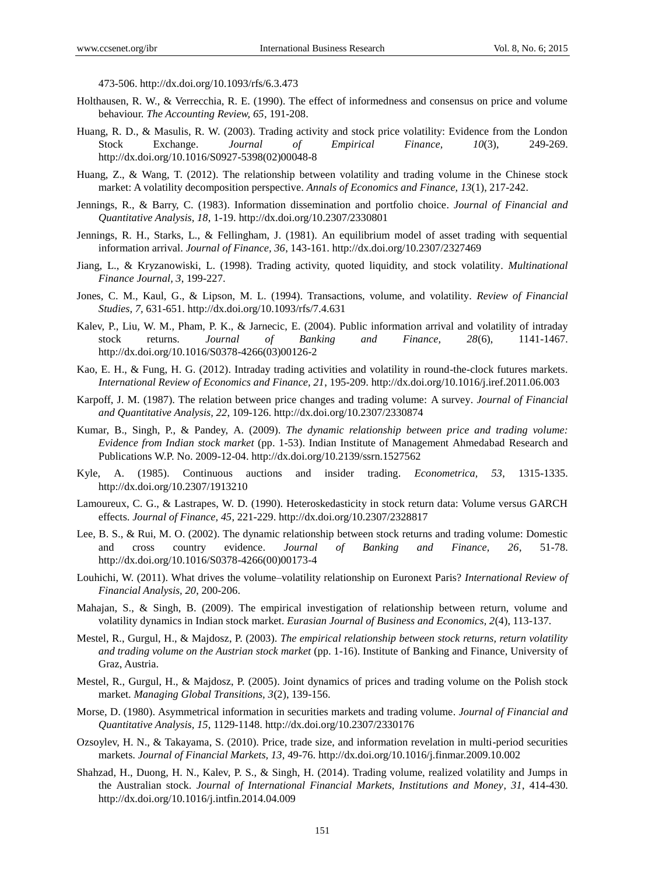473-506. http://dx.doi.org/10.1093/rfs/6.3.473

- Holthausen, R. W., & Verrecchia, R. E. (1990). The effect of informedness and consensus on price and volume behaviour. *The Accounting Review, 65*, 191-208.
- Huang, R. D., & Masulis, R. W. (2003). Trading activity and stock price volatility: Evidence from the London Stock Exchange. *Journal of Empirical Finance, 10*(3), 249-269. http://dx.doi.org/10.1016/S0927-5398(02)00048-8
- Huang, Z., & Wang, T. (2012). The relationship between volatility and trading volume in the Chinese stock market: A volatility decomposition perspective. *Annals of Economics and Finance, 13*(1), 217-242.
- Jennings, R., & Barry, C. (1983). Information dissemination and portfolio choice. *Journal of Financial and Quantitative Analysis, 18*, 1-19. http://dx.doi.org/10.2307/2330801
- Jennings, R. H., Starks, L., & Fellingham, J. (1981). An equilibrium model of asset trading with sequential information arrival. *Journal of Finance, 36*, 143-161. http://dx.doi.org/10.2307/2327469
- Jiang, L., & Kryzanowiski, L. (1998). Trading activity, quoted liquidity, and stock volatility. *Multinational Finance Journal, 3*, 199-227.
- Jones, C. M., Kaul, G., & Lipson, M. L. (1994). Transactions, volume, and volatility. *Review of Financial Studies, 7,* 631-651. http://dx.doi.org/10.1093/rfs/7.4.631
- Kalev, P., Liu, W. M., Pham, P. K., & Jarnecic, E. (2004). Public information arrival and volatility of intraday stock returns. *Journal of Banking and Finance, 28*(6), 1141-1467. http://dx.doi.org/10.1016/S0378-4266(03)00126-2
- Kao, E. H., & Fung, H. G. (2012). Intraday trading activities and volatility in round-the-clock futures markets. *International Review of Economics and Finance, 21*, 195-209. http://dx.doi.org/10.1016/j.iref.2011.06.003
- Karpoff, J. M. (1987). The relation between price changes and trading volume: A survey. *Journal of Financial and Quantitative Analysis, 22*, 109-126. http://dx.doi.org/10.2307/2330874
- Kumar, B., Singh, P., & Pandey, A. (2009). *The dynamic relationship between price and trading volume: Evidence from Indian stock market* (pp. 1-53). Indian Institute of Management Ahmedabad Research and Publications W.P. No. 2009-12-04. http://dx.doi.org/10.2139/ssrn.1527562
- Kyle, A. (1985). Continuous auctions and insider trading. *Econometrica, 53*, 1315-1335. http://dx.doi.org/10.2307/1913210
- Lamoureux, C. G., & Lastrapes, W. D. (1990). Heteroskedasticity in stock return data: Volume versus GARCH effects. *Journal of Finance, 45*, 221-229. http://dx.doi.org/10.2307/2328817
- Lee, B. S., & Rui, M. O. (2002). The dynamic relationship between stock returns and trading volume: Domestic and cross country evidence. *Journal of Banking and Finance, 26*, 51-78. http://dx.doi.org/10.1016/S0378-4266(00)00173-4
- Louhichi, W. (2011). What drives the volume–volatility relationship on Euronext Paris? *International Review of Financial Analysis, 20*, 200-206.
- Mahajan, S., & Singh, B. (2009). The empirical investigation of relationship between return, volume and volatility dynamics in Indian stock market. *Eurasian Journal of Business and Economics, 2*(4), 113-137.
- Mestel, R., Gurgul, H., & Majdosz, P. (2003). *The empirical relationship between stock returns, return volatility and trading volume on the Austrian stock market* (pp. 1-16). Institute of Banking and Finance, University of Graz, Austria.
- Mestel, R., Gurgul, H., & Majdosz, P. (2005). Joint dynamics of prices and trading volume on the Polish stock market. *Managing Global Transitions, 3*(2), 139-156.
- Morse, D. (1980). Asymmetrical information in securities markets and trading volume. *Journal of Financial and Quantitative Analysis, 15*, 1129-1148. http://dx.doi.org/10.2307/2330176
- Ozsoylev, H. N., & Takayama, S. (2010). Price, trade size, and information revelation in multi-period securities markets. *Journal of Financial Markets, 13*, 49-76. http://dx.doi.org/10.1016/j.finmar.2009.10.002
- Shahzad, H., Duong, H. N., Kalev, P. S., & Singh, H. (2014). Trading volume, realized volatility and Jumps in the Australian stock. *Journal of International Financial Markets, Institutions and Money, 31*, 414-430. http://dx.doi.org/10.1016/j.intfin.2014.04.009